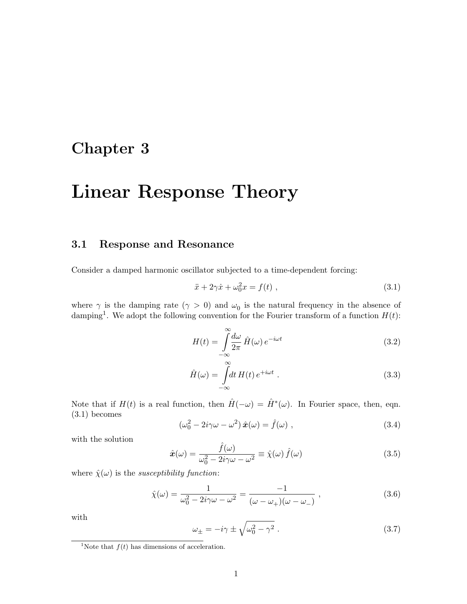# Chapter 3

# Linear Response Theory

# 3.1 Response and Resonance

Consider a damped harmonic oscillator subjected to a time-dependent forcing:

$$
\ddot{x} + 2\gamma \dot{x} + \omega_0^2 x = f(t) , \qquad (3.1)
$$

where  $\gamma$  is the damping rate  $(\gamma > 0)$  and  $\omega_0$  is the natural frequency in the absence of damping<sup>1</sup>. We adopt the following convention for the Fourier transform of a function  $H(t)$ :

$$
H(t) = \int_{-\infty}^{\infty} \frac{d\omega}{2\pi} \hat{H}(\omega) e^{-i\omega t}
$$
 (3.2)

$$
\hat{H}(\omega) = \int_{-\infty}^{\infty} dt \, H(t) \, e^{+i\omega t} \; . \tag{3.3}
$$

Note that if  $H(t)$  is a real function, then  $\hat{H}(-\omega) = \hat{H}^*(\omega)$ . In Fourier space, then, eqn. (3.1) becomes

$$
(\omega_0^2 - 2i\gamma\omega - \omega^2)\,\hat{\boldsymbol{x}}(\omega) = \hat{f}(\omega) \;, \tag{3.4}
$$

with the solution

$$
\hat{x}(\omega) = \frac{\hat{f}(\omega)}{\omega_0^2 - 2i\gamma\omega - \omega^2} \equiv \hat{\chi}(\omega) \,\hat{f}(\omega) \tag{3.5}
$$

where  $\hat{\chi}(\omega)$  is the *susceptibility function*:

$$
\hat{\chi}(\omega) = \frac{1}{\omega_0^2 - 2i\gamma\omega - \omega^2} = \frac{-1}{(\omega - \omega_+)(\omega - \omega_-)} ,
$$
\n(3.6)

with

$$
\omega_{\pm} = -i\gamma \pm \sqrt{\omega_0^2 - \gamma^2} \ . \tag{3.7}
$$

<sup>&</sup>lt;sup>1</sup>Note that  $f(t)$  has dimensions of acceleration.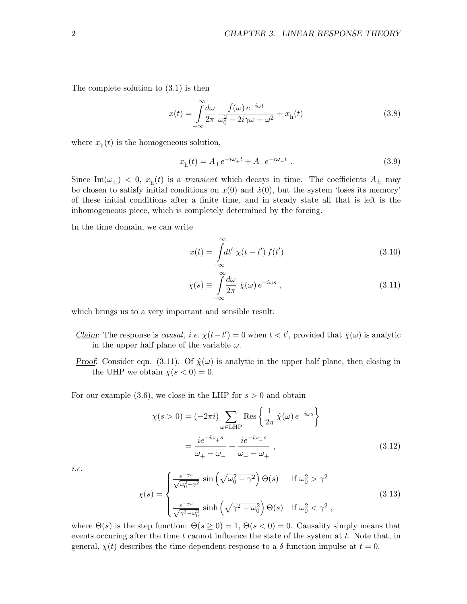The complete solution to (3.1) is then

$$
x(t) = \int_{-\infty}^{\infty} \frac{d\omega}{2\pi} \frac{\hat{f}(\omega) e^{-i\omega t}}{\omega_0^2 - 2i\gamma\omega - \omega^2} + x_h(t)
$$
 (3.8)

where  $x<sub>h</sub>(t)$  is the homogeneous solution,

$$
xh(t) = A+e-i\omega+t + A-e-i\omega-t.
$$
 (3.9)

Since Im $(\omega_{\pm})$  < 0,  $x_{h}(t)$  is a *transient* which decays in time. The coefficients  $A_{\pm}$  may be chosen to satisfy initial conditions on  $x(0)$  and  $\dot{x}(0)$ , but the system 'loses its memory' of these initial conditions after a finite time, and in steady state all that is left is the inhomogeneous piece, which is completely determined by the forcing.

In the time domain, we can write

$$
x(t) = \int_{-\infty}^{\infty} dt' \ \chi(t - t') \ f(t')
$$
\n(3.10)

$$
\chi(s) \equiv \int_{-\infty}^{\infty} \frac{d\omega}{2\pi} \ \hat{\chi}(\omega) \, e^{-i\omega s} \ , \tag{3.11}
$$

which brings us to a very important and sensible result:

- Claim: The response is causal, i.e.  $\chi(t-t') = 0$  when  $t < t'$ , provided that  $\hat{\chi}(\omega)$  is analytic in the upper half plane of the variable  $\omega$ .
- Proof: Consider eqn. (3.11). Of  $\hat{\chi}(\omega)$  is analytic in the upper half plane, then closing in the UHP we obtain  $\chi(s < 0) = 0$ .

For our example  $(3.6)$ , we close in the LHP for  $s > 0$  and obtain

$$
\chi(s > 0) = (-2\pi i) \sum_{\omega \in \text{LHP}} \text{Res}\left\{\frac{1}{2\pi} \hat{\chi}(\omega) e^{-i\omega s}\right\}
$$

$$
= \frac{ie^{-i\omega_{+}s}}{\omega_{+} - \omega_{-}} + \frac{ie^{-i\omega_{-}s}}{\omega_{-} - \omega_{+}},
$$
(3.12)

i.e.

$$
\chi(s) = \begin{cases} \frac{e^{-\gamma s}}{\sqrt{\omega_0^2 - \gamma^2}} \sin\left(\sqrt{\omega_0^2 - \gamma^2}\right) \Theta(s) & \text{if } \omega_0^2 > \gamma^2\\ \frac{e^{-\gamma s}}{\sqrt{\gamma^2 - \omega_0^2}} \sinh\left(\sqrt{\gamma^2 - \omega_0^2}\right) \Theta(s) & \text{if } \omega_0^2 < \gamma^2 \end{cases}
$$
\n(3.13)

where  $\Theta(s)$  is the step function:  $\Theta(s \geq 0) = 1$ ,  $\Theta(s < 0) = 0$ . Causality simply means that events occuring after the time  $t$  cannot influence the state of the system at  $t$ . Note that, in general,  $\chi(t)$  describes the time-dependent response to a  $\delta$ -function impulse at  $t = 0$ .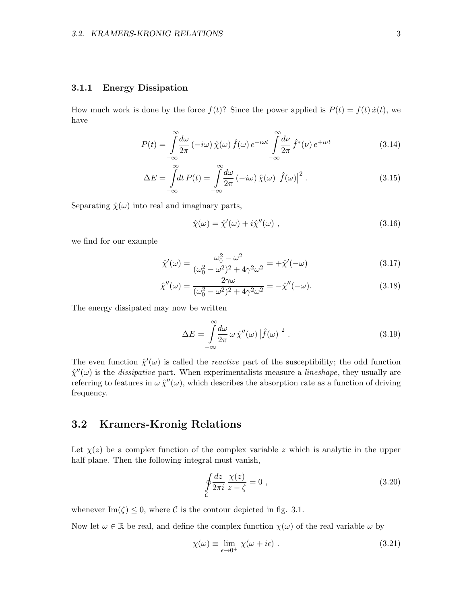#### 3.1.1 Energy Dissipation

How much work is done by the force  $f(t)$ ? Since the power applied is  $P(t) = f(t) \dot{x}(t)$ , we have

$$
P(t) = \int_{-\infty}^{\infty} \frac{d\omega}{2\pi} \left(-i\omega\right) \hat{\chi}(\omega) \hat{f}(\omega) e^{-i\omega t} \int_{-\infty}^{\infty} \frac{d\nu}{2\pi} \hat{f}^*(\nu) e^{+i\nu t}
$$
(3.14)

$$
\Delta E = \int_{-\infty}^{\infty} dt \, P(t) = \int_{-\infty}^{\infty} \frac{d\omega}{2\pi} \left(-i\omega\right) \hat{\chi}(\omega) \left|\hat{f}(\omega)\right|^2. \tag{3.15}
$$

Separating  $\hat{\chi}(\omega)$  into real and imaginary parts,

$$
\hat{\chi}(\omega) = \hat{\chi}'(\omega) + i\hat{\chi}''(\omega) , \qquad (3.16)
$$

we find for our example

$$
\hat{\chi}'(\omega) = \frac{\omega_0^2 - \omega^2}{(\omega_0^2 - \omega^2)^2 + 4\gamma^2 \omega^2} = +\hat{\chi}'(-\omega)
$$
\n(3.17)

$$
\hat{\chi}''(\omega) = \frac{2\gamma\omega}{(\omega_0^2 - \omega^2)^2 + 4\gamma^2\omega^2} = -\hat{\chi}''(-\omega). \tag{3.18}
$$

The energy dissipated may now be written

$$
\Delta E = \int_{-\infty}^{\infty} \frac{d\omega}{2\pi} \omega \hat{\chi}''(\omega) |\hat{f}(\omega)|^2.
$$
 (3.19)

The even function  $\hat{\chi}'(\omega)$  is called the *reactive* part of the susceptibility; the odd function  $\hat{\chi}''(\omega)$  is the *dissipative* part. When experimentalists measure a *lineshape*, they usually are referring to features in  $\omega \hat{\chi}''(\omega)$ , which describes the absorption rate as a function of driving frequency.

# 3.2 Kramers-Kronig Relations

Let  $\chi(z)$  be a complex function of the complex variable z which is analytic in the upper half plane. Then the following integral must vanish,

$$
\oint_C \frac{dz}{2\pi i} \frac{\chi(z)}{z - \zeta} = 0 ,\qquad(3.20)
$$

whenever  $\text{Im}(\zeta) \leq 0$ , where C is the contour depicted in fig. 3.1.

Now let  $\omega \in \mathbb{R}$  be real, and define the complex function  $\chi(\omega)$  of the real variable  $\omega$  by

$$
\chi(\omega) \equiv \lim_{\epsilon \to 0^+} \chi(\omega + i\epsilon) \ . \tag{3.21}
$$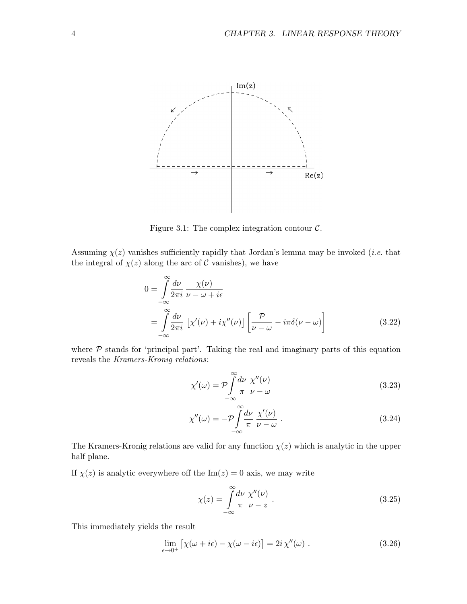

Figure 3.1: The complex integration contour  $\mathcal{C}$ .

Assuming  $\chi(z)$  vanishes sufficiently rapidly that Jordan's lemma may be invoked *(i.e.* that the integral of  $\chi(z)$  along the arc of C vanishes), we have

$$
0 = \int_{-\infty}^{\infty} \frac{d\nu}{2\pi i} \frac{\chi(\nu)}{\nu - \omega + i\epsilon}
$$
  
= 
$$
\int_{-\infty}^{\infty} \frac{d\nu}{2\pi i} \left[ \chi'(\nu) + i\chi''(\nu) \right] \left[ \frac{\mathcal{P}}{\nu - \omega} - i\pi \delta(\nu - \omega) \right]
$$
(3.22)

where  $P$  stands for 'principal part'. Taking the real and imaginary parts of this equation reveals the Kramers-Kronig relations:

$$
\chi'(\omega) = \mathcal{P} \int_{-\infty}^{\infty} \frac{d\nu}{\pi} \frac{\chi''(\nu)}{\nu - \omega}
$$
\n(3.23)

$$
\chi''(\omega) = -\mathcal{P} \int_{-\infty}^{\infty} \frac{d\nu}{\pi} \frac{\chi'(\nu)}{\nu - \omega} . \tag{3.24}
$$

The Kramers-Kronig relations are valid for any function  $\chi(z)$  which is analytic in the upper half plane.

If  $\chi(z)$  is analytic everywhere off the Im( $z$ ) = 0 axis, we may write

$$
\chi(z) = \int_{-\infty}^{\infty} \frac{d\nu}{\pi} \frac{\chi''(\nu)}{\nu - z} . \tag{3.25}
$$

This immediately yields the result

$$
\lim_{\epsilon \to 0^+} \left[ \chi(\omega + i\epsilon) - \chi(\omega - i\epsilon) \right] = 2i \chi''(\omega) . \tag{3.26}
$$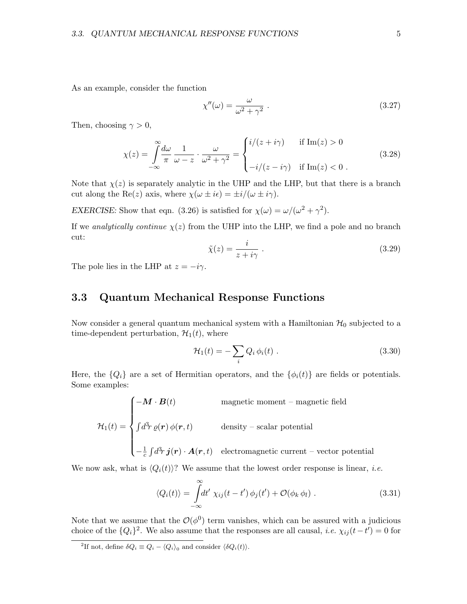As an example, consider the function

$$
\chi''(\omega) = \frac{\omega}{\omega^2 + \gamma^2} \tag{3.27}
$$

Then, choosing  $\gamma > 0$ ,

$$
\chi(z) = \int_{-\infty}^{\infty} \frac{d\omega}{\pi} \frac{1}{\omega - z} \cdot \frac{\omega}{\omega^2 + \gamma^2} = \begin{cases} i/(z + i\gamma) & \text{if } \text{Im}(z) > 0 \\ -i/(z - i\gamma) & \text{if } \text{Im}(z) < 0 \end{cases}
$$
(3.28)

Note that  $\chi(z)$  is separately analytic in the UHP and the LHP, but that there is a branch cut along the Re(z) axis, where  $\chi(\omega \pm i\epsilon) = \pm i/(\omega \pm i\gamma)$ .

EXERCISE: Show that eqn. (3.26) is satisfied for  $\chi(\omega) = \omega/(\omega^2 + \gamma^2)$ .

If we analytically continue  $\chi(z)$  from the UHP into the LHP, we find a pole and no branch cut:

$$
\tilde{\chi}(z) = \frac{i}{z + i\gamma} \ . \tag{3.29}
$$

The pole lies in the LHP at  $z = -i\gamma$ .

# 3.3 Quantum Mechanical Response Functions

Now consider a general quantum mechanical system with a Hamiltonian  $\mathcal{H}_0$  subjected to a time-dependent perturbation,  $\mathcal{H}_1(t)$ , where

$$
\mathcal{H}_1(t) = -\sum_i Q_i \,\phi_i(t) \tag{3.30}
$$

Here, the  ${Q_i}$  are a set of Hermitian operators, and the  ${\phi_i(t)}$  are fields or potentials. Some examples:

 $\mathcal{H}_1(t) =$  $\sqrt{ }$  $\int$  $\begin{array}{c} \end{array}$  $-\boldsymbol{M}\cdot\boldsymbol{B}(t)$  magnetic moment – magnetic field  $\int d^3r \,\varrho(\mathbf{r}) \,\varphi(\mathbf{r},t)$  density – scalar potential  $-\frac{1}{c}$  $\frac{1}{c}\int\!d^3\!r\, \boldsymbol{j}(\boldsymbol{r})\cdot\boldsymbol{A}(\boldsymbol{r},t) \quad \text{electromagnetic current--vector potential}$ 

We now ask, what is  $\langle Q_i(t)\rangle$ ? We assume that the lowest order response is linear, *i.e.* 

$$
\langle Q_i(t) \rangle = \int_{-\infty}^{\infty} dt' \ \chi_{ij}(t - t') \, \phi_j(t') + \mathcal{O}(\phi_k \, \phi_l) \ . \tag{3.31}
$$

Note that we assume that the  $\mathcal{O}(\phi^0)$  term vanishes, which can be assured with a judicious choice of the  ${Q_i}^2$ . We also assume that the responses are all causal, *i.e.*  $\chi_{ij}(t-t')=0$  for

<sup>&</sup>lt;sup>2</sup>If not, define  $\delta Q_i \equiv Q_i - \langle Q_i \rangle_0$  and consider  $\langle \delta Q_i(t) \rangle$ .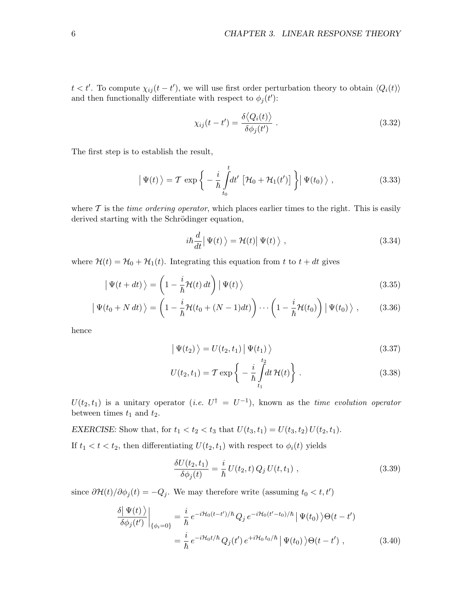$t < t'$ . To compute  $\chi_{ij}(t-t')$ , we will use first order perturbation theory to obtain  $\langle Q_i(t) \rangle$ and then functionally differentiate with respect to  $\phi_j(t')$ :

$$
\chi_{ij}(t - t') = \frac{\delta \langle Q_i(t) \rangle}{\delta \phi_j(t')} \ . \tag{3.32}
$$

The first step is to establish the result,

$$
\left| \Psi(t) \right\rangle = \mathcal{T} \exp \left\{ -\frac{i}{\hbar} \int_{t_0}^t dt' \left[ \mathcal{H}_0 + \mathcal{H}_1(t') \right] \right\} \left| \Psi(t_0) \right\rangle, \tag{3.33}
$$

where  $\mathcal T$  is the *time ordering operator*, which places earlier times to the right. This is easily derived starting with the Schrödinger equation,

$$
i\hbar \frac{d}{dt} |\Psi(t)\rangle = \mathcal{H}(t) |\Psi(t)\rangle , \qquad (3.34)
$$

where  $\mathcal{H}(t) = \mathcal{H}_0 + \mathcal{H}_1(t)$ . Integrating this equation from t to  $t + dt$  gives

$$
\left| \Psi(t+dt) \right\rangle = \left( 1 - \frac{i}{\hbar} \mathcal{H}(t) dt \right) \left| \Psi(t) \right\rangle \tag{3.35}
$$

$$
\left| \Psi(t_0 + N dt) \right\rangle = \left( 1 - \frac{i}{\hbar} \mathcal{H}(t_0 + (N - 1) dt) \right) \cdots \left( 1 - \frac{i}{\hbar} \mathcal{H}(t_0) \right) \left| \Psi(t_0) \right\rangle, \tag{3.36}
$$

hence

$$
\left| \Psi(t_2) \right\rangle = U(t_2, t_1) \left| \Psi(t_1) \right\rangle
$$
\n(3.37)

$$
U(t_2, t_1) = \mathcal{T} \exp\left\{-\frac{i}{\hbar} \int_{t_1}^{t_2} dt \, \mathcal{H}(t)\right\}.
$$
 (3.38)

 $U(t_2,t_1)$  is a unitary operator (*i.e.*  $U^{\dagger} = U^{-1}$ ), known as the *time evolution operator* between times  $t_1$  and  $t_2$ .

EXERCISE: Show that, for  $t_1 < t_2 < t_3$  that  $U(t_3, t_1) = U(t_3, t_2) U(t_2, t_1)$ .

If  $t_1 < t < t_2$ , then differentiating  $U(t_2, t_1)$  with respect to  $\phi_i(t)$  yields

$$
\frac{\delta U(t_2, t_1)}{\delta \phi_j(t)} = \frac{i}{\hbar} U(t_2, t) Q_j U(t, t_1) , \qquad (3.39)
$$

since  $\partial \mathcal{H}(t)/\partial \phi_j(t) = -Q_j$ . We may therefore write (assuming  $t_0 < t, t'$ )

$$
\frac{\delta |\Psi(t)\rangle}{\delta\phi_j(t')} \bigg|_{\{\phi_i=0\}} = \frac{i}{\hbar} e^{-i\mathcal{H}_0(t-t')/\hbar} Q_j e^{-i\mathcal{H}_0(t'-t_0)/\hbar} |\Psi(t_0)\rangle \Theta(t-t')
$$

$$
= \frac{i}{\hbar} e^{-i\mathcal{H}_0 t/\hbar} Q_j(t') e^{+i\mathcal{H}_0 t_0/\hbar} |\Psi(t_0)\rangle \Theta(t-t') , \qquad (3.40)
$$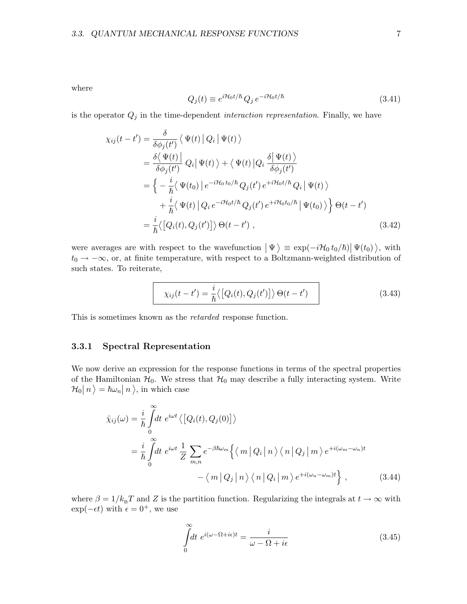where

$$
Q_j(t) \equiv e^{i\mathcal{H}_0 t/\hbar} Q_j e^{-i\mathcal{H}_0 t/\hbar} \tag{3.41}
$$

is the operator  $Q_j$  in the time-dependent *interaction representation*. Finally, we have

$$
\chi_{ij}(t - t') = \frac{\delta}{\delta \phi_j(t')} \langle \Psi(t) | Q_i | \Psi(t) \rangle
$$
  
\n
$$
= \frac{\delta \langle \Psi(t) | Q_i | \Psi(t) \rangle + \langle \Psi(t) | Q_i \frac{\delta | \Psi(t) \rangle}{\delta \phi_j(t')}
$$
  
\n
$$
= \left\{ -\frac{i}{\hbar} \langle \Psi(t_0) | e^{-i\mathcal{H}_0 t_0/\hbar} Q_j(t') e^{+i\mathcal{H}_0 t/\hbar} Q_i | \Psi(t) \rangle \right.
$$
  
\n
$$
+ \frac{i}{\hbar} \langle \Psi(t) | Q_i e^{-i\mathcal{H}_0 t/\hbar} Q_j(t') e^{+i\mathcal{H}_0 t_0/\hbar} | \Psi(t_0) \rangle \right\} \Theta(t - t')
$$
  
\n
$$
= \frac{i}{\hbar} \langle [Q_i(t), Q_j(t')] \rangle \Theta(t - t')
$$
\n(3.42)

were averages are with respect to the wavefunction  $|\Psi\rangle \equiv \exp(-i\mathcal{H}_0 t_0/\hbar) |\Psi(t_0)\rangle$ , with  $t_0 \rightarrow -\infty$ , or, at finite temperature, with respect to a Boltzmann-weighted distribution of such states. To reiterate,

$$
\chi_{ij}(t-t') = \frac{i}{\hbar} \langle \left[ Q_i(t), Q_j(t') \right] \rangle \Theta(t-t')
$$
\n(3.43)

This is sometimes known as the retarded response function.

#### 3.3.1 Spectral Representation

We now derive an expression for the response functions in terms of the spectral properties of the Hamiltonian  $\mathcal{H}_0$ . We stress that  $\mathcal{H}_0$  may describe a fully interacting system. Write  $\mathcal{H}_0|n\rangle = \hbar\omega_n|n\rangle$ , in which case

$$
\hat{\chi}_{ij}(\omega) = \frac{i}{\hbar} \int_{0}^{\infty} dt \, e^{i\omega t} \langle [Q_i(t), Q_j(0)] \rangle
$$
\n
$$
= \frac{i}{\hbar} \int_{0}^{\infty} dt \, e^{i\omega t} \frac{1}{Z} \sum_{m,n} e^{-\beta \hbar \omega_m} \left\{ \langle m | Q_i | n \rangle \langle n | Q_j | m \rangle e^{+i(\omega_m - \omega_n)t} - \langle m | Q_j | n \rangle \langle n | Q_i | m \rangle e^{+i(\omega_n - \omega_m)t} \right\}, \qquad (3.44)
$$

where  $\beta = 1/k_B T$  and Z is the partition function. Regularizing the integrals at  $t \to \infty$  with  $\exp(-\epsilon t)$  with  $\epsilon = 0^+$ , we use

$$
\int_{0}^{\infty} dt \ e^{i(\omega - \Omega + i\epsilon)t} = \frac{i}{\omega - \Omega + i\epsilon}
$$
\n(3.45)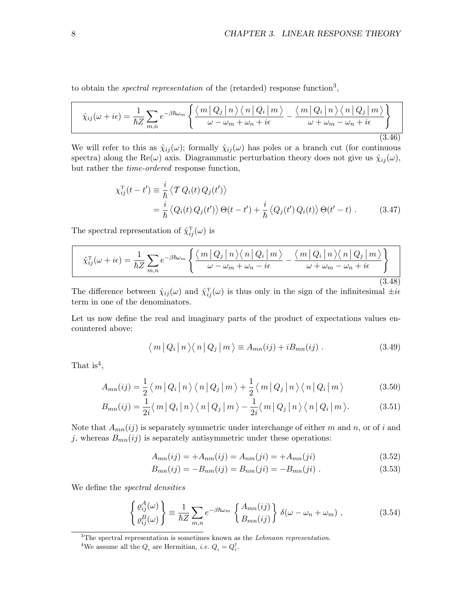to obtain the *spectral representation* of the (retarded) response function<sup>3</sup>,

$$
\hat{\chi}_{ij}(\omega + i\epsilon) = \frac{1}{\hbar Z} \sum_{m,n} e^{-\beta \hbar \omega_m} \left\{ \frac{\langle m | Q_j | n \rangle \langle n | Q_i | m \rangle}{\omega - \omega_m + \omega_n + i\epsilon} - \frac{\langle m | Q_i | n \rangle \langle n | Q_j | m \rangle}{\omega + \omega_m - \omega_n + i\epsilon} \right\}
$$
\n(3.46)

We will refer to this as  $\hat{\chi}_{ij}(\omega)$ ; formally  $\hat{\chi}_{ij}(\omega)$  has poles or a branch cut (for continuous spectra) along the Re( $\omega$ ) axis. Diagrammatic perturbation theory does not give us  $\hat{\chi}_{ij}(\omega)$ , but rather the time-ordered response function,

$$
\chi_{ij}^{\mathrm{T}}(t-t') \equiv \frac{i}{\hbar} \langle \mathcal{T} Q_i(t) Q_j(t') \rangle
$$
  
=  $\frac{i}{\hbar} \langle Q_i(t) Q_j(t') \rangle \Theta(t-t') + \frac{i}{\hbar} \langle Q_j(t') Q_i(t) \rangle \Theta(t'-t)$ . (3.47)

The spectral representation of  $\hat{\chi}_{ij}^{\text{T}}(\omega)$  is

$$
\hat{\chi}_{ij}^{\mathrm{T}}(\omega + i\epsilon) = \frac{1}{\hbar Z} \sum_{m,n} e^{-\beta \hbar \omega_m} \left\{ \frac{\langle m | Q_j | n \rangle \langle n | Q_i | m \rangle}{\omega - \omega_m + \omega_n - i\epsilon} - \frac{\langle m | Q_i | n \rangle \langle n | Q_j | m \rangle}{\omega + \omega_m - \omega_n + i\epsilon} \right\}
$$
\n(3.48)

The difference between  $\hat{\chi}_{ij}(\omega)$  and  $\hat{\chi}_{ij}^{\text{T}}(\omega)$  is thus only in the sign of the infinitesimal  $\pm i\epsilon$ term in one of the denominators.

Let us now define the real and imaginary parts of the product of expectations values encountered above:

$$
\langle m | Q_i | n \rangle \langle n | Q_j | m \rangle \equiv A_{mn}(ij) + i B_{mn}(ij) . \qquad (3.49)
$$

That is<sup>4</sup>,

$$
A_{mn}(ij) = \frac{1}{2} \langle m | Q_i | n \rangle \langle n | Q_j | m \rangle + \frac{1}{2} \langle m | Q_j | n \rangle \langle n | Q_i | m \rangle \tag{3.50}
$$

$$
B_{mn}(ij) = \frac{1}{2i} \langle m | Q_i | n \rangle \langle n | Q_j | m \rangle - \frac{1}{2i} \langle m | Q_j | n \rangle \langle n | Q_i | m \rangle. \tag{3.51}
$$

Note that  $A_{mn}(ij)$  is separately symmetric under interchange of either m and n, or of i and j, whereas  $B_{mn}(ij)$  is separately antisymmetric under these operations:

$$
A_{mn}(ij) = +A_{nm}(ij) = A_{nm}(ji) = +A_{mn}(ji)
$$
\n(3.52)

$$
B_{mn}(ij) = -B_{nm}(ij) = B_{nm}(ji) = -B_{mn}(ji) . \qquad (3.53)
$$

We define the spectral densities

$$
\begin{Bmatrix} \varrho_{ij}^{A}(\omega) \\ \varrho_{ij}^{B}(\omega) \end{Bmatrix} \equiv \frac{1}{\hbar Z} \sum_{m,n} e^{-\beta \hbar \omega_{m}} \begin{Bmatrix} A_{mn}(ij) \\ B_{mn}(ij) \end{Bmatrix} \delta(\omega - \omega_{n} + \omega_{m}), \qquad (3.54)
$$

 $3$ The spectral representation is sometimes known as the *Lehmann representation*.

<sup>&</sup>lt;sup>4</sup>We assume all the  $Q_i$  are Hermitian, *i.e.*  $Q_i = Q_i^{\dagger}$ .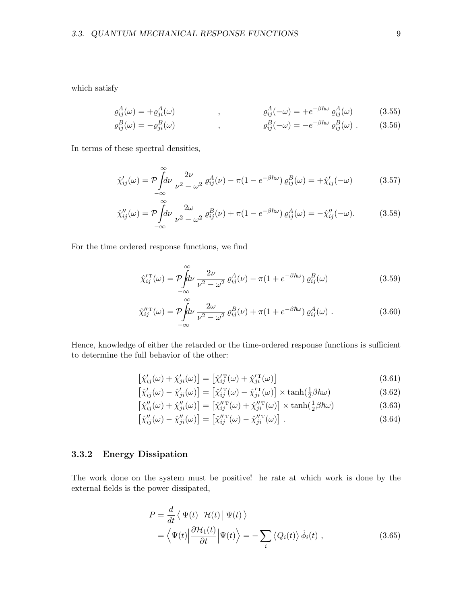which satisfy

$$
\varrho_{ij}^A(\omega) = + \varrho_{ji}^A(\omega) \qquad , \qquad \qquad \varrho_{ij}^A(-\omega) = + e^{-\beta \hbar \omega} \varrho_{ij}^A(\omega) \qquad (3.55)
$$

$$
\varrho_{ij}^B(\omega) = -\varrho_{ji}^B(\omega) \qquad , \qquad \qquad \varrho_{ij}^B(-\omega) = -e^{-\beta \hbar \omega} \varrho_{ij}^B(\omega) \ . \qquad (3.56)
$$

In terms of these spectral densities,

$$
\hat{\chi}_{ij}'(\omega) = \mathcal{P} \int_{-\infty}^{\infty} d\nu \frac{2\nu}{\nu^2 - \omega^2} \varrho_{ij}^A(\nu) - \pi (1 - e^{-\beta \hbar \omega}) \varrho_{ij}^B(\omega) = +\hat{\chi}_{ij}'(-\omega) \tag{3.57}
$$

$$
\hat{\chi}_{ij}''(\omega) = \mathcal{P} \int_{-\infty}^{\infty} d\nu \, \frac{2\omega}{\nu^2 - \omega^2} \, \varrho_{ij}^B(\nu) + \pi (1 - e^{-\beta \hbar \omega}) \, \varrho_{ij}^A(\omega) = -\hat{\chi}_{ij}''(-\omega). \tag{3.58}
$$

For the time ordered response functions, we find

$$
\hat{\chi}_{ij}^{\prime \mathrm{T}}(\omega) = \mathcal{P} \int_{-\infty}^{\infty} d\nu \frac{2\nu}{\nu^2 - \omega^2} \varrho_{ij}^A(\nu) - \pi (1 + e^{-\beta \hbar \omega}) \varrho_{ij}^B(\omega)
$$
\n(3.59)

$$
\hat{\chi}_{ij}^{\prime T}(\omega) = \mathcal{P} \int_{-\infty}^{\infty} d\nu \frac{2\omega}{\nu^2 - \omega^2} \varrho_{ij}^B(\nu) + \pi (1 + e^{-\beta \hbar \omega}) \varrho_{ij}^A(\omega) . \tag{3.60}
$$

Hence, knowledge of either the retarded or the time-ordered response functions is sufficient to determine the full behavior of the other:

$$
\left[\hat{\chi}_{ij}'(\omega) + \hat{\chi}_{ji}'(\omega)\right] = \left[\hat{\chi}_{ij}^{\prime \mathrm{T}}(\omega) + \hat{\chi}_{ji}^{\prime \mathrm{T}}(\omega)\right]
$$
\n(3.61)

$$
\left[\hat{\chi}_{ij}'(\omega) - \hat{\chi}_{ji}'(\omega)\right] = \left[\hat{\chi}_{ij}^{\prime \, \mathrm{T}}(\omega) - \hat{\chi}_{ji}^{\prime \, \mathrm{T}}(\omega)\right] \times \tanh\left(\frac{1}{2}\beta\hbar\omega\right) \tag{3.62}
$$

$$
\left[\hat{\chi}_{ij}''(\omega) + \hat{\chi}_{ji}''(\omega)\right] = \left[\hat{\chi}_{ij}''^{\mathrm{T}}(\omega) + \hat{\chi}_{ji}''^{\mathrm{T}}(\omega)\right] \times \tanh\left(\frac{1}{2}\beta\hbar\omega\right) \tag{3.63}
$$

$$
\left[\hat{\chi}_{ij}''(\omega) - \hat{\chi}_{ji}''(\omega)\right] = \left[\hat{\chi}_{ij}''^{\mathrm{T}}(\omega) - \hat{\chi}_{ji}''^{\mathrm{T}}(\omega)\right].
$$
\n(3.64)

#### 3.3.2 Energy Dissipation

The work done on the system must be positive! he rate at which work is done by the external fields is the power dissipated,

$$
P = \frac{d}{dt} \langle \Psi(t) | \mathcal{H}(t) | \Psi(t) \rangle
$$
  
=  $\langle \Psi(t) | \frac{\partial \mathcal{H}_1(t)}{\partial t} | \Psi(t) \rangle = - \sum_i \langle Q_i(t) \rangle \dot{\phi}_i(t) ,$  (3.65)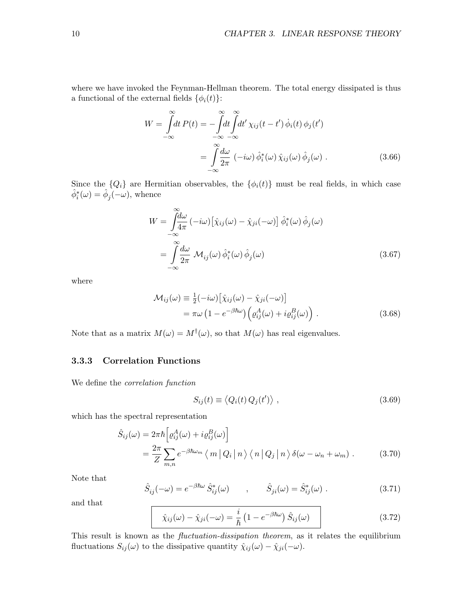where we have invoked the Feynman-Hellman theorem. The total energy dissipated is thus a functional of the external fields  $\{\phi_i(t)\}$ :

$$
W = \int_{-\infty}^{\infty} dt \, P(t) = -\int_{-\infty}^{\infty} dt \int_{-\infty}^{\infty} dt' \, \chi_{ij}(t - t') \, \dot{\phi}_i(t) \, \phi_j(t')
$$

$$
= \int_{-\infty}^{\infty} \frac{d\omega}{2\pi} \, (-i\omega) \, \hat{\phi}_i^*(\omega) \, \hat{\chi}_{ij}(\omega) \, \hat{\phi}_j(\omega) \, . \tag{3.66}
$$

Since the  ${Q_i}$  are Hermitian observables, the  ${\phi_i(t)}$  must be real fields, in which case  $\hat{\phi}_i^*(\omega) = \hat{\phi}_j(-\omega)$ , whence

$$
W = \int_{-\infty}^{\infty} \frac{d\omega}{4\pi} \left( -i\omega \right) \left[ \hat{\chi}_{ij}(\omega) - \hat{\chi}_{ji}(-\omega) \right] \hat{\phi}_{i}^{*}(\omega) \hat{\phi}_{j}(\omega)
$$
  

$$
= \int_{-\infty}^{\infty} \frac{d\omega}{2\pi} \mathcal{M}_{ij}(\omega) \hat{\phi}_{i}^{*}(\omega) \hat{\phi}_{j}(\omega)
$$
(3.67)

where

$$
\mathcal{M}_{ij}(\omega) \equiv \frac{1}{2}(-i\omega) \left[ \hat{\chi}_{ij}(\omega) - \hat{\chi}_{ji}(-\omega) \right] \n= \pi \omega \left( 1 - e^{-\beta \hbar \omega} \right) \left( \varrho_{ij}^A(\omega) + i \varrho_{ij}^B(\omega) \right) .
$$
\n(3.68)

Note that as a matrix  $M(\omega) = M^{\dagger}(\omega)$ , so that  $M(\omega)$  has real eigenvalues.

#### 3.3.3 Correlation Functions

We define the correlation function

$$
S_{ij}(t) \equiv \langle Q_i(t) Q_j(t') \rangle , \qquad (3.69)
$$

which has the spectral representation

$$
\hat{S}_{ij}(\omega) = 2\pi\hbar \left[ \varrho_{ij}^{A}(\omega) + i \varrho_{ij}^{B}(\omega) \right]
$$
\n
$$
= \frac{2\pi}{Z} \sum_{m,n} e^{-\beta\hbar\omega_{m}} \langle m | Q_{i} | n \rangle \langle n | Q_{j} | n \rangle \delta(\omega - \omega_{n} + \omega_{m}) . \tag{3.70}
$$

Note that

$$
\hat{S}_{ij}(-\omega) = e^{-\beta \hbar \omega} \hat{S}_{ij}^*(\omega) \qquad , \qquad \hat{S}_{ji}(\omega) = \hat{S}_{ij}^*(\omega) \ . \tag{3.71}
$$

and that

$$
\hat{\chi}_{ij}(\omega) - \hat{\chi}_{ji}(-\omega) = \frac{i}{\hbar} \left( 1 - e^{-\beta \hbar \omega} \right) \hat{S}_{ij}(\omega) \tag{3.72}
$$

This result is known as the *fluctuation-dissipation theorem*, as it relates the equilibrium fluctuations  $S_{ij}(\omega)$  to the dissipative quantity  $\hat{\chi}_{ij}(\omega) - \hat{\chi}_{ji}(-\omega)$ .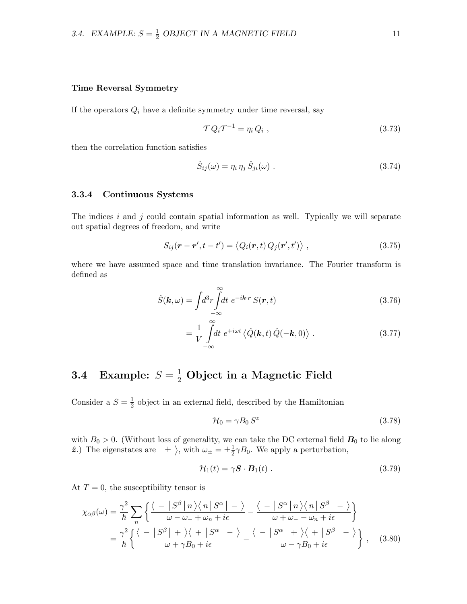#### Time Reversal Symmetry

If the operators  $Q_i$  have a definite symmetry under time reversal, say

$$
\mathcal{T} Q_i \mathcal{T}^{-1} = \eta_i Q_i , \qquad (3.73)
$$

then the correlation function satisfies

$$
\hat{S}_{ij}(\omega) = \eta_i \,\eta_j \,\hat{S}_{ji}(\omega) \tag{3.74}
$$

#### 3.3.4 Continuous Systems

The indices i and j could contain spatial information as well. Typically we will separate out spatial degrees of freedom, and write

$$
S_{ij}(\mathbf{r} - \mathbf{r}', t - t') = \langle Q_i(\mathbf{r}, t) Q_j(\mathbf{r}', t') \rangle , \qquad (3.75)
$$

where we have assumed space and time translation invariance. The Fourier transform is defined as

$$
\hat{S}(\mathbf{k},\omega) = \int d^3r \int_{-\infty}^{\infty} dt \ e^{-i\mathbf{k}\cdot\mathbf{r}} S(\mathbf{r},t)
$$
\n(3.76)

$$
= \frac{1}{V} \int_{-\infty}^{\infty} dt \ e^{+i\omega t} \langle \hat{Q}(\mathbf{k}, t) \hat{Q}(-\mathbf{k}, 0) \rangle . \qquad (3.77)
$$

# 3.4 Example:  $S = \frac{1}{2}$  Object in a Magnetic Field

Consider a  $S=\frac{1}{2}$  $\frac{1}{2}$  object in an external field, described by the Hamiltonian

$$
\mathcal{H}_0 = \gamma B_0 S^z \tag{3.78}
$$

with  $B_0 > 0$ . (Without loss of generality, we can take the DC external field  $B_0$  to lie along  $\hat{z}$ .) The eigenstates are  $| \pm \rangle$ , with  $\omega_{\pm} = \pm \frac{1}{2}$  $\frac{1}{2}\gamma B_0$ . We apply a perturbation,

$$
\mathcal{H}_1(t) = \gamma \mathbf{S} \cdot \mathbf{B}_1(t) \tag{3.79}
$$

At  $T = 0$ , the susceptibility tensor is

$$
\chi_{\alpha\beta}(\omega) = \frac{\gamma^2}{\hbar} \sum_{n} \left\{ \frac{\langle -|S^{\beta}|n\rangle\langle n|S^{\alpha}|-\rangle}{\omega-\omega_{-}+\omega_{n}+i\epsilon} - \frac{\langle -|S^{\alpha}|n\rangle\langle n|S^{\beta}|-\rangle}{\omega+\omega_{-}-\omega_{n}+i\epsilon} \right\}
$$

$$
= \frac{\gamma^2}{\hbar} \left\{ \frac{\langle -|S^{\beta}|+\rangle\langle +|S^{\alpha}|-\rangle}{\omega+\gamma B_0+i\epsilon} - \frac{\langle -|S^{\alpha}|+\rangle\langle +|S^{\beta}|-\rangle}{\omega-\gamma B_0+i\epsilon} \right\}, \quad (3.80)
$$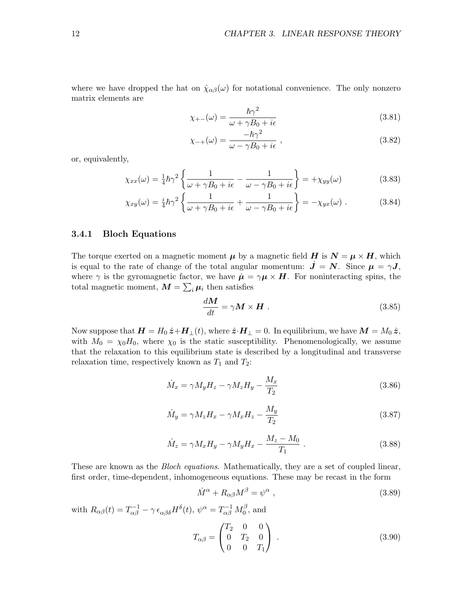where we have dropped the hat on  $\hat{\chi}_{\alpha\beta}(\omega)$  for notational convenience. The only nonzero matrix elements are

$$
\chi_{+-}(\omega) = \frac{\hbar\gamma^2}{\omega + \gamma B_0 + i\epsilon} \tag{3.81}
$$

$$
\chi_{-+}(\omega) = \frac{-\hbar\gamma^2}{\omega - \gamma B_0 + i\epsilon} \,,\tag{3.82}
$$

or, equivalently,

$$
\chi_{xx}(\omega) = \frac{1}{4}\hbar\gamma^2 \left\{ \frac{1}{\omega + \gamma B_0 + i\epsilon} - \frac{1}{\omega - \gamma B_0 + i\epsilon} \right\} = +\chi_{yy}(\omega)
$$
(3.83)

$$
\chi_{xy}(\omega) = \frac{i}{4}\hbar\gamma^2 \left\{ \frac{1}{\omega + \gamma B_0 + i\epsilon} + \frac{1}{\omega - \gamma B_0 + i\epsilon} \right\} = -\chi_{yx}(\omega) \ . \tag{3.84}
$$

#### 3.4.1 Bloch Equations

The torque exerted on a magnetic moment  $\mu$  by a magnetic field  $H$  is  $N = \mu \times H$ , which is equal to the rate of change of the total angular momentum:  $\dot{J} = N$ . Since  $\mu = \gamma J$ , where  $\gamma$  is the gyromagnetic factor, we have  $\dot{\mu} = \gamma \mu \times H$ . For noninteracting spins, the total magnetic moment,  $M = \sum_i \mu_i$  then satisfies

$$
\frac{dM}{dt} = \gamma M \times H \tag{3.85}
$$

Now suppose that  $\mathbf{H} = H_0 \hat{\mathbf{z}} + \mathbf{H}_{\perp}(t)$ , where  $\hat{\mathbf{z}} \cdot \mathbf{H}_{\perp} = 0$ . In equilibrium, we have  $\mathbf{M} = M_0 \hat{\mathbf{z}}$ , with  $M_0 = \chi_0 H_0$ , where  $\chi_0$  is the static susceptibility. Phenomenologically, we assume that the relaxation to this equilibrium state is described by a longitudinal and transverse relaxation time, respectively known as  $T_1$  and  $T_2$ :

$$
\dot{M}_x = \gamma M_y H_z - \gamma M_z H_y - \frac{M_x}{T_2} \tag{3.86}
$$

$$
\dot{M}_y = \gamma M_z H_x - \gamma M_x H_z - \frac{M_y}{T_2} \tag{3.87}
$$

$$
\dot{M}_z = \gamma M_x H_y - \gamma M_y H_x - \frac{M_z - M_0}{T_1} \,. \tag{3.88}
$$

These are known as the *Bloch equations*. Mathematically, they are a set of coupled linear, first order, time-dependent, inhomogeneous equations. These may be recast in the form

$$
\dot{M}^{\alpha} + R_{\alpha\beta}M^{\beta} = \psi^{\alpha} , \qquad (3.89)
$$

with  $R_{\alpha\beta}(t) = T_{\alpha\beta}^{-1} - \gamma \epsilon_{\alpha\beta\delta} H^{\delta}(t)$ ,  $\psi^{\alpha} = T_{\alpha\beta}^{-1} M_0^{\beta}$  $\int_0^b$ , and

$$
T_{\alpha\beta} = \begin{pmatrix} T_2 & 0 & 0 \\ 0 & T_2 & 0 \\ 0 & 0 & T_1 \end{pmatrix} . \tag{3.90}
$$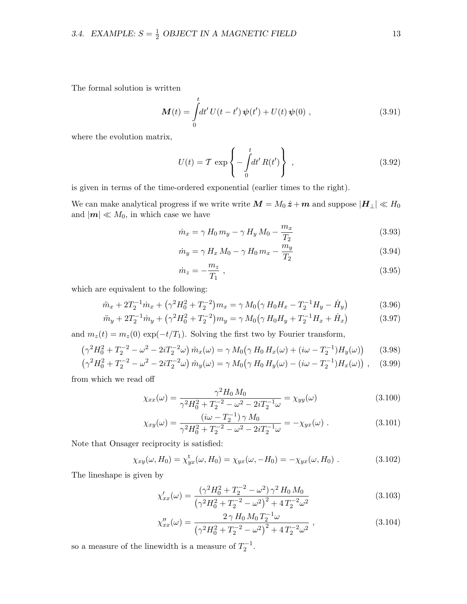The formal solution is written

$$
\mathbf{M}(t) = \int_{0}^{t} dt' U(t - t') \, \psi(t') + U(t) \, \psi(0) \;, \tag{3.91}
$$

where the evolution matrix,

$$
U(t) = \mathcal{T} \exp\left\{-\int_0^t dt' R(t')\right\},\qquad(3.92)
$$

is given in terms of the time-ordered exponential (earlier times to the right).

We can make analytical progress if we write write  $M = M_0 \hat{z} + m$  and suppose  $|H_{\perp}| \ll H_0$ and  $|\boldsymbol{m}| \ll M_0$ , in which case we have

$$
\dot{m}_x = \gamma H_0 m_y - \gamma H_y M_0 - \frac{m_x}{T_2}
$$
\n(3.93)

$$
\dot{m}_y = \gamma H_x M_0 - \gamma H_0 m_x - \frac{m_y}{T_2}
$$
\n(3.94)

$$
\dot{m}_z = -\frac{m_z}{T_1} \tag{3.95}
$$

which are equivalent to the following:

$$
\ddot{m}_x + 2T_2^{-1}\dot{m}_x + \left(\gamma^2 H_0^2 + T_2^{-2}\right)m_x = \gamma M_0\left(\gamma H_0 H_x - T_2^{-1} H_y - \dot{H}_y\right)
$$
(3.96)

$$
\ddot{m}_y + 2T_2^{-1}\dot{m}_y + \left(\gamma^2 H_0^2 + T_2^{-2}\right)m_y = \gamma M_0\left(\gamma H_0 H_y + T_2^{-1} H_x + \dot{H}_x\right) \tag{3.97}
$$

and  $m_z(t) = m_z(0) \exp(-t/T_1)$ . Solving the first two by Fourier transform,

$$
\left(\gamma^2 H_0^2 + T_2^{-2} - \omega^2 - 2i T_2^{-2} \omega\right) \hat{m}_x(\omega) = \gamma M_0 \left(\gamma H_0 H_x(\omega) + (i\omega - T_2^{-1}) H_y(\omega)\right) \tag{3.98}
$$

$$
\left(\gamma^2 H_0^2 + T_2^{-2} - \omega^2 - 2i T_2^{-2} \omega\right) \hat{m}_y(\omega) = \gamma M_0 \left(\gamma H_0 H_y(\omega) - (i\omega - T_2^{-1}) H_x(\omega)\right) , \quad (3.99)
$$

from which we read off

$$
\chi_{xx}(\omega) = \frac{\gamma^2 H_0 M_0}{\gamma^2 H_0^2 + T_2^{-2} - \omega^2 - 2iT_2^{-1}\omega} = \chi_{yy}(\omega)
$$
\n(3.100)

$$
\chi_{xy}(\omega) = \frac{(i\omega - T_2^{-1})\,\gamma\,M_0}{\gamma^2 H_0^2 + T_2^{-2} - \omega^2 - 2i T_2^{-1} \omega} = -\chi_{yx}(\omega) \ . \tag{3.101}
$$

Note that Onsager reciprocity is satisfied:

$$
\chi_{xy}(\omega, H_0) = \chi_{yx}^{\rm t}(\omega, H_0) = \chi_{yx}(\omega, -H_0) = -\chi_{yx}(\omega, H_0) \ . \tag{3.102}
$$

The lineshape is given by

$$
\chi'_{xx}(\omega) = \frac{\left(\gamma^2 H_0^2 + T_2^{-2} - \omega^2\right) \gamma^2 H_0 M_0}{\left(\gamma^2 H_0^2 + T_2^{-2} - \omega^2\right)^2 + 4 T_2^{-2} \omega^2}
$$
\n(3.103)

$$
\chi''_{xx}(\omega) = \frac{2 \gamma H_0 M_0 T_2^{-1} \omega}{\left(\gamma^2 H_0^2 + T_2^{-2} - \omega^2\right)^2 + 4 T_2^{-2} \omega^2},\tag{3.104}
$$

so a measure of the linewidth is a measure of  $T_2^{-1}$ .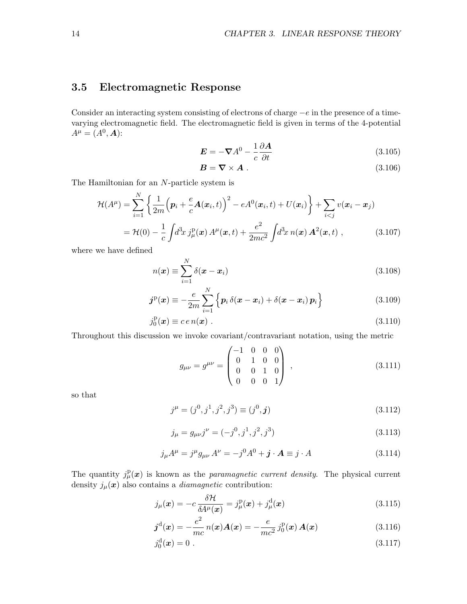# 3.5 Electromagnetic Response

Consider an interacting system consisting of electrons of charge  $-e$  in the presence of a timevarying electromagnetic field. The electromagnetic field is given in terms of the 4-potential  $A^{\mu} = (A^{0}, A)$ :

$$
E = -\nabla A^0 - \frac{1}{c} \frac{\partial A}{\partial t}
$$
 (3.105)

$$
B = \nabla \times A \tag{3.106}
$$

The Hamiltonian for an N-particle system is

$$
\mathcal{H}(A^{\mu}) = \sum_{i=1}^{N} \left\{ \frac{1}{2m} \left( \boldsymbol{p}_i + \frac{e}{c} \boldsymbol{A}(\boldsymbol{x}_i, t) \right)^2 - e A^0(\boldsymbol{x}_i, t) + U(\boldsymbol{x}_i) \right\} + \sum_{i < j} v(\boldsymbol{x}_i - \boldsymbol{x}_j)
$$
\n
$$
= \mathcal{H}(0) - \frac{1}{c} \int d^3x \, j_{\mu}^{\mathrm{p}}(\boldsymbol{x}) \, A^{\mu}(\boldsymbol{x}, t) + \frac{e^2}{2mc^2} \int d^3x \, n(\boldsymbol{x}) \, \boldsymbol{A}^2(\boldsymbol{x}, t) \;, \tag{3.107}
$$

where we have defined

$$
n(\boldsymbol{x}) \equiv \sum_{i=1}^{N} \delta(\boldsymbol{x} - \boldsymbol{x}_i)
$$
\n(3.108)

$$
\boldsymbol{j}^{\mathrm{p}}(\boldsymbol{x}) \equiv -\frac{e}{2m} \sum_{i=1}^{N} \left\{ \boldsymbol{p}_i \, \delta(\boldsymbol{x} - \boldsymbol{x}_i) + \delta(\boldsymbol{x} - \boldsymbol{x}_i) \, \boldsymbol{p}_i \right\} \tag{3.109}
$$

$$
j_0^{\mathrm{p}}(\boldsymbol{x}) \equiv c \, e \, n(\boldsymbol{x}) \; . \tag{3.110}
$$

Throughout this discussion we invoke covariant/contravariant notation, using the metric

$$
g_{\mu\nu} = g^{\mu\nu} = \begin{pmatrix} -1 & 0 & 0 & 0 \\ 0 & 1 & 0 & 0 \\ 0 & 0 & 1 & 0 \\ 0 & 0 & 0 & 1 \end{pmatrix} , \qquad (3.111)
$$

so that

$$
j^{\mu} = (j^0, j^1, j^2, j^3) \equiv (j^0, \mathbf{j}) \tag{3.112}
$$

$$
j_{\mu} = g_{\mu\nu}j^{\nu} = (-j^0, j^1, j^2, j^3)
$$
\n(3.113)

$$
j_{\mu}A^{\mu} = j^{\mu}g_{\mu\nu}A^{\nu} = -j^{0}A^{0} + \mathbf{j} \cdot \mathbf{A} \equiv j \cdot A \tag{3.114}
$$

The quantity  $j_{\mu}^{\text{p}}(x)$  is known as the *paramagnetic current density*. The physical current density  $j_{\mu}(\boldsymbol{x})$  also contains a *diamagnetic* contribution:

$$
j_{\mu}(\boldsymbol{x}) = -c \frac{\delta \mathcal{H}}{\delta A^{\mu}(\boldsymbol{x})} = j^{\mathrm{p}}_{\mu}(\boldsymbol{x}) + j^{\mathrm{d}}_{\mu}(\boldsymbol{x}) \tag{3.115}
$$

$$
\boldsymbol{j}^{\mathrm{d}}(\boldsymbol{x}) = -\frac{e^2}{mc} n(\boldsymbol{x}) \boldsymbol{A}(\boldsymbol{x}) = -\frac{e}{mc^2} j_0^{\mathrm{p}}(\boldsymbol{x}) \boldsymbol{A}(\boldsymbol{x}) \tag{3.116}
$$

$$
j_0^{\rm d}(\bm{x}) = 0 \tag{3.117}
$$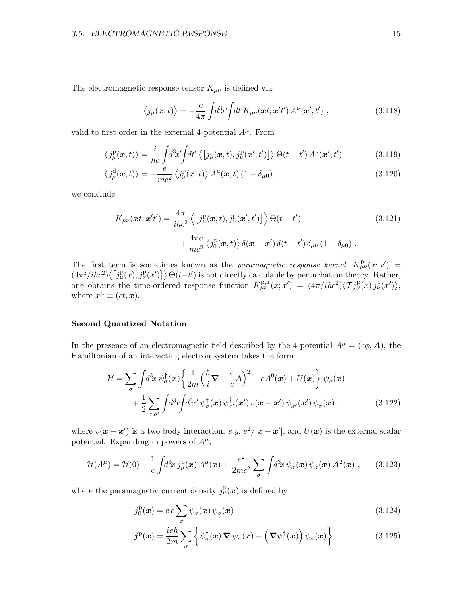#### 3.5. ELECTROMAGNETIC RESPONSE 15

The electromagnetic response tensor  $K_{\mu\nu}$  is defined via

$$
\langle j_{\mu}(\boldsymbol{x},t)\rangle = -\frac{c}{4\pi} \int d^3x' \int dt \, K_{\mu\nu}(\boldsymbol{x}t;\boldsymbol{x}'t') \, A^{\nu}(\boldsymbol{x}',t') \;, \tag{3.118}
$$

valid to first order in the external 4-potential  $A^{\mu}$ . From

$$
\langle j^{\rm p}_{\mu}(\boldsymbol{x},t)\rangle = \frac{i}{\hbar c} \int d^3x' \int dt' \langle \left[j^{\rm p}_{\mu}(\boldsymbol{x},t),j^{\rm p}_{\nu}(\boldsymbol{x}',t')\right]\rangle \Theta(t-t') A^{\nu}(\boldsymbol{x}',t')
$$
(3.119)

$$
\left\langle j_{\mu}^{\mathrm{d}}(\boldsymbol{x},t)\right\rangle = -\frac{e}{mc^2} \left\langle j_0^{\mathrm{p}}(\boldsymbol{x},t)\right\rangle A^{\mu}(\boldsymbol{x},t) \left(1-\delta_{\mu 0}\right),\tag{3.120}
$$

we conclude

$$
K_{\mu\nu}(\boldsymbol{x}t;\boldsymbol{x}'t') = \frac{4\pi}{i\hbar c^2} \left\langle \left[j^{\mathrm{p}}_{\mu}(\boldsymbol{x},t), j^{\mathrm{p}}_{\nu}(\boldsymbol{x}',t')\right] \right\rangle \Theta(t-t') + \frac{4\pi e}{mc^2} \left\langle j^{\mathrm{p}}_{0}(\boldsymbol{x},t) \right\rangle \delta(\boldsymbol{x}-\boldsymbol{x}') \delta(t-t') \delta_{\mu\nu} (1-\delta_{\mu 0}) .
$$
\n(3.121)

The first term is sometimes known as the paramagnetic response kernel,  $K^{\mathbf{p}}_{\mu\nu}(x; x') =$  $(4\pi i/i\hbar c^2)\langle \left[j_\mu^{\rm p}(x), j_\nu^{\rm p}(x')\right]\rangle \Theta(t-t')$  is not directly calculable by perturbation theory. Rather, one obtains the time-ordered response function  $K_{\mu\nu}^{\text{p},T}(x;x') = (4\pi/i\hbar c^2)\langle \mathcal{T}j_{\mu}^{\text{p}}(x) j_{\nu}^{\text{p}}(x')\rangle$ , where  $x^{\mu} \equiv (ct, \mathbf{x}).$ 

#### Second Quantized Notation

In the presence of an electromagnetic field described by the 4-potential  $A^{\mu} = (c\phi, \mathbf{A})$ , the Hamiltonian of an interacting electron system takes the form

$$
\mathcal{H} = \sum_{\sigma} \int d^3x \, \psi_{\sigma}^{\dagger}(\boldsymbol{x}) \left\{ \frac{1}{2m} \left( \frac{\hbar}{i} \nabla + \frac{e}{c} \mathbf{A} \right)^2 - eA^0(\boldsymbol{x}) + U(\boldsymbol{x}) \right\} \psi_{\sigma}(\boldsymbol{x}) + \frac{1}{2} \sum_{\sigma,\sigma'} \int d^3x \int d^3x' \, \psi_{\sigma}^{\dagger}(\boldsymbol{x}) \, \psi_{\sigma'}^{\dagger}(\boldsymbol{x}') \, v(\boldsymbol{x} - \boldsymbol{x}') \, \psi_{\sigma'}(\boldsymbol{x}') \, \psi_{\sigma}(\boldsymbol{x}) ,
$$
(3.122)

where  $v(x - x')$  is a two-body interaction, e.g.  $e^2/|x - x'|$ , and  $U(x)$  is the external scalar potential. Expanding in powers of  $A^{\mu}$ ,

$$
\mathcal{H}(A^{\mu}) = \mathcal{H}(0) - \frac{1}{c} \int d^3x \, j_{\mu}^{\rm p}(\boldsymbol{x}) \, A^{\mu}(\boldsymbol{x}) + \frac{e^2}{2mc^2} \sum_{\sigma} \int d^3x \, \psi_{\sigma}^{\dagger}(\boldsymbol{x}) \, \psi_{\sigma}(\boldsymbol{x}) \, A^2(\boldsymbol{x}) \;, \tag{3.123}
$$

where the paramagnetic current density  $j_{\mu}^{\text{p}}(x)$  is defined by

$$
j_0^{\mathrm{p}}(\boldsymbol{x}) = c \, e \sum_{\sigma} \psi_{\sigma}^{\dagger}(\boldsymbol{x}) \, \psi_{\sigma}(\boldsymbol{x}) \tag{3.124}
$$

$$
\boldsymbol{j}^{\mathrm{p}}(\boldsymbol{x}) = \frac{ie\hbar}{2m} \sum_{\sigma} \left\{ \psi_{\sigma}^{\dagger}(\boldsymbol{x}) \, \boldsymbol{\nabla} \, \psi_{\sigma}(\boldsymbol{x}) - \left( \boldsymbol{\nabla} \psi_{\sigma}^{\dagger}(\boldsymbol{x}) \right) \psi_{\sigma}(\boldsymbol{x}) \right\} \,. \tag{3.125}
$$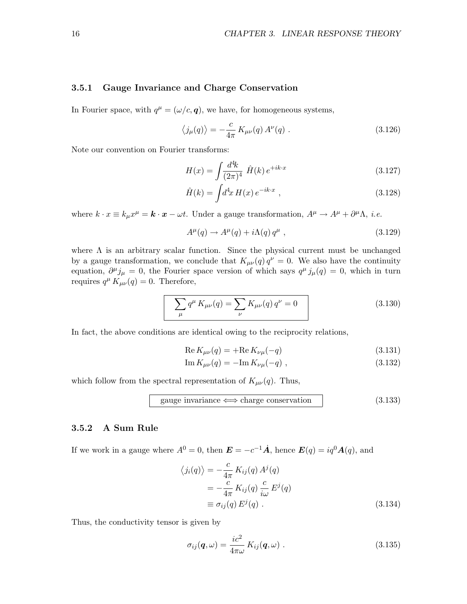#### 3.5.1 Gauge Invariance and Charge Conservation

In Fourier space, with  $q^{\mu} = (\omega/c, \mathbf{q})$ , we have, for homogeneous systems,

$$
\langle j_{\mu}(q) \rangle = -\frac{c}{4\pi} K_{\mu\nu}(q) A^{\nu}(q) . \qquad (3.126)
$$

Note our convention on Fourier transforms:

$$
H(x) = \int \frac{d^4k}{(2\pi)^4} \hat{H}(k) e^{+ik \cdot x} \tag{3.127}
$$

$$
\hat{H}(k) = \int d^4x \, H(x) \, e^{-ik \cdot x} \,, \tag{3.128}
$$

where  $k \cdot x \equiv k_{\mu}x^{\mu} = \mathbf{k} \cdot \mathbf{x} - \omega t$ . Under a gauge transformation,  $A^{\mu} \to A^{\mu} + \partial^{\mu} \Lambda$ , *i.e.* 

$$
A^{\mu}(q) \to A^{\mu}(q) + i\Lambda(q) q^{\mu} , \qquad (3.129)
$$

where  $\Lambda$  is an arbitrary scalar function. Since the physical current must be unchanged by a gauge transformation, we conclude that  $K_{\mu\nu}(q) q^{\nu} = 0$ . We also have the continuity equation,  $\partial^{\mu} j_{\mu} = 0$ , the Fourier space version of which says  $q^{\mu} j_{\mu}(q) = 0$ , which in turn requires  $q^{\mu} K_{\mu\nu}(q) = 0$ . Therefore,

$$
\sum_{\mu} q^{\mu} K_{\mu\nu}(q) = \sum_{\nu} K_{\mu\nu}(q) q^{\nu} = 0
$$
\n(3.130)

In fact, the above conditions are identical owing to the reciprocity relations,

$$
Re K_{\mu\nu}(q) = + Re K_{\nu\mu}(-q)
$$
\n(3.131)

$$
\operatorname{Im} K_{\mu\nu}(q) = -\operatorname{Im} K_{\nu\mu}(-q) , \qquad (3.132)
$$

which follow from the spectral representation of  $K_{\mu\nu}(q)$ . Thus,

$$
gauge invariance \iff charge\ conservation
$$
 (3.133)

#### 3.5.2 A Sum Rule

If we work in a gauge where  $A^0 = 0$ , then  $\mathbf{E} = -c^{-1}\dot{\mathbf{A}}$ , hence  $\mathbf{E}(q) = iq^0 \mathbf{A}(q)$ , and

$$
\langle j_i(q) \rangle = -\frac{c}{4\pi} K_{ij}(q) A^j(q)
$$
  
=  $-\frac{c}{4\pi} K_{ij}(q) \frac{c}{i\omega} E^j(q)$   
 $\equiv \sigma_{ij}(q) E^j(q)$ . (3.134)

Thus, the conductivity tensor is given by

$$
\sigma_{ij}(\boldsymbol{q},\omega) = \frac{ic^2}{4\pi\omega} K_{ij}(\boldsymbol{q},\omega) . \qquad (3.135)
$$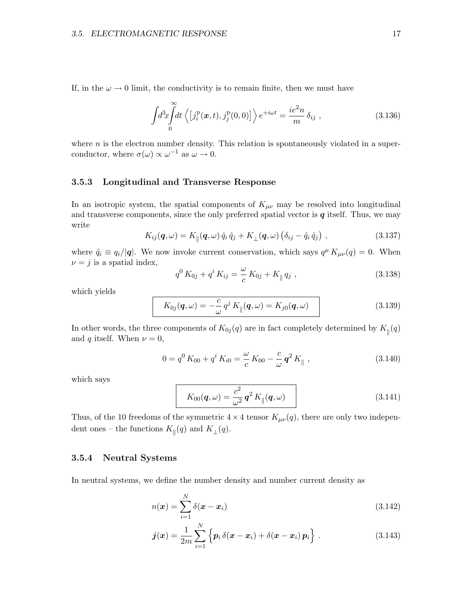If, in the  $\omega \to 0$  limit, the conductivity is to remain finite, then we must have

$$
\int d^3x \int_0^\infty dt \left\langle \left[ j_i^{\mathrm{p}}(\boldsymbol{x},t), j_j^{\mathrm{p}}(0,0) \right] \right\rangle e^{+i\omega t} = \frac{ie^2 n}{m} \delta_{ij} , \qquad (3.136)
$$

where  $n$  is the electron number density. This relation is spontaneously violated in a superconductor, where  $\sigma(\omega) \propto \omega^{-1}$  as  $\omega \to 0$ .

#### 3.5.3 Longitudinal and Transverse Response

In an isotropic system, the spatial components of  $K_{\mu\nu}$  may be resolved into longitudinal and transverse components, since the only preferred spatial vector is  $q$  itself. Thus, we may write

$$
K_{ij}(\boldsymbol{q},\omega) = K_{\parallel}(\boldsymbol{q},\omega) \,\hat{q}_i \,\hat{q}_j + K_{\perp}(\boldsymbol{q},\omega) \left(\delta_{ij} - \hat{q}_i \,\hat{q}_j\right) \,, \tag{3.137}
$$

where  $\hat{q}_i \equiv q_i/|\mathbf{q}|$ . We now invoke current conservation, which says  $q^{\mu} K_{\mu\nu}(q) = 0$ . When  $\nu = j$  is a spatial index,

$$
q^{0} K_{0j} + q^{i} K_{ij} = \frac{\omega}{c} K_{0j} + K_{\parallel} q_{j} , \qquad (3.138)
$$

which yields

$$
K_{0j}(\boldsymbol{q},\omega) = -\frac{c}{\omega} q^j K_{\parallel}(\boldsymbol{q},\omega) = K_{j0}(\boldsymbol{q},\omega)
$$
\n(3.139)

In other words, the three components of  $K_{0j}(q)$  are in fact completely determined by  $K_{\parallel}(q)$ and q itself. When  $\nu = 0$ ,

$$
0 = q^{0} K_{00} + q^{i} K_{i0} = \frac{\omega}{c} K_{00} - \frac{c}{\omega} q^{2} K_{\parallel} , \qquad (3.140)
$$

which says

$$
K_{00}(\boldsymbol{q},\omega) = \frac{c^2}{\omega^2} \, \boldsymbol{q}^2 \, K_{\parallel}(\boldsymbol{q},\omega) \tag{3.141}
$$

Thus, of the 10 freedoms of the symmetric  $4 \times 4$  tensor  $K_{\mu\nu}(q)$ , there are only two independent ones – the functions  $K_{\parallel}(q)$  and  $K_{\perp}(q)$ .

#### 3.5.4 Neutral Systems

In neutral systems, we define the number density and number current density as

$$
n(\boldsymbol{x}) = \sum_{i=1}^{N} \delta(\boldsymbol{x} - \boldsymbol{x}_i)
$$
\n(3.142)

$$
\boldsymbol{j}(\boldsymbol{x}) = \frac{1}{2m} \sum_{i=1}^{N} \left\{ \boldsymbol{p}_i \, \delta(\boldsymbol{x} - \boldsymbol{x}_i) + \delta(\boldsymbol{x} - \boldsymbol{x}_i) \, \boldsymbol{p}_i \right\} \,. \tag{3.143}
$$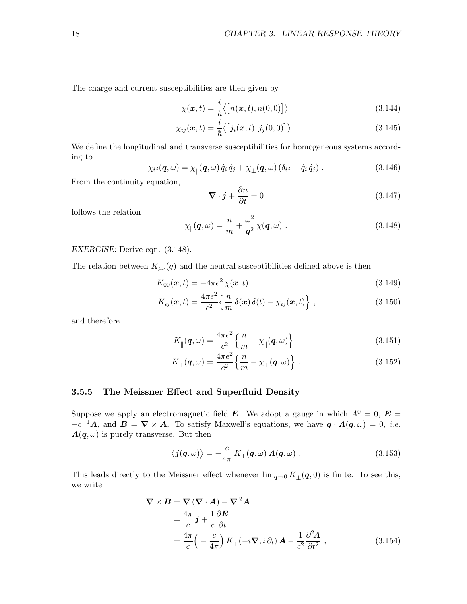The charge and current susceptibilities are then given by

$$
\chi(\boldsymbol{x},t) = \frac{i}{\hbar} \langle \big[ n(\boldsymbol{x},t), n(0,0) \big] \rangle \tag{3.144}
$$

$$
\chi_{ij}(\boldsymbol{x},t) = \frac{i}{\hbar} \langle [j_i(\boldsymbol{x},t),j_j(0,0)] \rangle . \qquad (3.145)
$$

We define the longitudinal and transverse susceptibilities for homogeneous systems according to

$$
\chi_{ij}(\boldsymbol{q},\omega) = \chi_{\parallel}(\boldsymbol{q},\omega) \,\hat{q}_i \,\hat{q}_j + \chi_{\perp}(\boldsymbol{q},\omega) \left(\delta_{ij} - \hat{q}_i \,\hat{q}_j\right) \,. \tag{3.146}
$$

From the continuity equation,

$$
\nabla \cdot \mathbf{j} + \frac{\partial n}{\partial t} = 0 \tag{3.147}
$$

follows the relation

$$
\chi_{\parallel}(\mathbf{q},\omega) = \frac{n}{m} + \frac{\omega^2}{\mathbf{q}^2} \chi(\mathbf{q},\omega) . \tag{3.148}
$$

EXERCISE: Derive eqn. (3.148).

The relation between  $K_{\mu\nu}(q)$  and the neutral susceptibilities defined above is then

$$
K_{00}(\mathbf{x},t) = -4\pi e^2 \chi(\mathbf{x},t)
$$
\n(3.149)

$$
K_{ij}(\boldsymbol{x},t) = \frac{4\pi e^2}{c^2} \left\{ \frac{n}{m} \delta(\boldsymbol{x}) \delta(t) - \chi_{ij}(\boldsymbol{x},t) \right\},\tag{3.150}
$$

and therefore

$$
K_{\parallel}(\boldsymbol{q},\omega) = \frac{4\pi e^2}{c^2} \left\{ \frac{n}{m} - \chi_{\parallel}(\boldsymbol{q},\omega) \right\} \tag{3.151}
$$

$$
K_{\perp}(\boldsymbol{q},\omega) = \frac{4\pi e^2}{c^2} \left\{ \frac{n}{m} - \chi_{\perp}(\boldsymbol{q},\omega) \right\} . \tag{3.152}
$$

#### 3.5.5 The Meissner Effect and Superfluid Density

Suppose we apply an electromagnetic field **E**. We adopt a gauge in which  $A^0 = 0$ , **E** =  $-c^{-1}\dot{A}$ , and  $B = \nabla \times A$ . To satisfy Maxwell's equations, we have  $q \cdot A(q,\omega) = 0$ , *i.e.*  $A(q,\omega)$  is purely transverse. But then

$$
\langle \mathbf{j}(\mathbf{q},\omega) \rangle = -\frac{c}{4\pi} \, K_{\perp}(\mathbf{q},\omega) \, \mathbf{A}(\mathbf{q},\omega) \; . \tag{3.153}
$$

This leads directly to the Meissner effect whenever  $\lim_{q\to 0} K_{\perp}(q,0)$  is finite. To see this, we write

$$
\nabla \times \mathbf{B} = \nabla (\nabla \cdot \mathbf{A}) - \nabla^2 \mathbf{A}
$$
  
=  $\frac{4\pi}{c} \mathbf{j} + \frac{1}{c} \frac{\partial \mathbf{E}}{\partial t}$   
=  $\frac{4\pi}{c} \left( -\frac{c}{4\pi} \right) K_{\perp} (-i\nabla, i \partial_t) \mathbf{A} - \frac{1}{c^2} \frac{\partial^2 \mathbf{A}}{\partial t^2}$ , (3.154)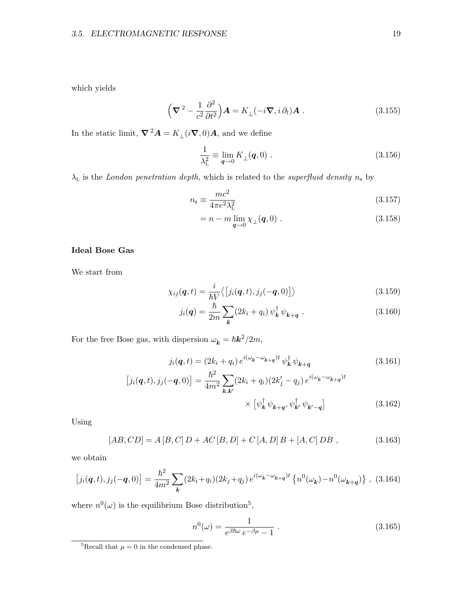which yields

$$
\left(\nabla^2 - \frac{1}{c^2} \frac{\partial^2}{\partial t^2}\right) \mathbf{A} = K_\perp (-i\nabla, i \partial_t) \mathbf{A} . \tag{3.155}
$$

In the static limit,  $\boldsymbol{\nabla}^2 \boldsymbol{A} = K_{\perp} (i \boldsymbol{\nabla}, 0) \boldsymbol{A}$ , and we define

$$
\frac{1}{\lambda_{\rm L}^2} \equiv \lim_{\mathbf{q} \to 0} K_{\perp}(\mathbf{q}, 0) \ . \tag{3.156}
$$

 $\lambda_{\rm L}$  is the *London penetration depth*, which is related to the *superfluid density*  $n_{\rm s}$  by

$$
n_{\rm s} \equiv \frac{mc^2}{4\pi e^2 \lambda_{\rm L}^2} \tag{3.157}
$$

$$
= n - m \lim_{\mathbf{q} \to 0} \chi_{\perp}(\mathbf{q}, 0) . \tag{3.158}
$$

#### Ideal Bose Gas

We start from

$$
\chi_{ij}(\boldsymbol{q},t) = \frac{i}{\hbar V} \langle [j_i(\boldsymbol{q},t), j_j(-\boldsymbol{q},0)] \rangle \tag{3.159}
$$

$$
j_i(\mathbf{q}) = \frac{\hbar}{2m} \sum_{\mathbf{k}} (2k_i + q_i) \,\psi_{\mathbf{k}}^\dagger \,\psi_{\mathbf{k} + \mathbf{q}} \,. \tag{3.160}
$$

For the free Bose gas, with dispersion  $\omega_{\mathbf{k}} = \hbar \mathbf{k}^2 / 2m$ ,

$$
j_i(\mathbf{q}, t) = (2k_i + q_i) e^{i(\omega_{\mathbf{k}} - \omega_{\mathbf{k} + \mathbf{q}})t} \psi_{\mathbf{k}}^{\dagger} \psi_{\mathbf{k} + \mathbf{q}}
$$
(3.161)

$$
[j_i(q, t), j_j(-q, 0)] = \frac{\hbar^2}{4m^2} \sum_{k, k'} (2k_i + q_i)(2k'_j - q_j) e^{i(\omega_k - \omega_{k+q})t} \times [\psi_k^{\dagger} \psi_{k+q}, \psi_{k'}^{\dagger} \psi_{k'-q}] \tag{3.162}
$$

Using

$$
[AB, CD] = A [B, C] D + AC [B, D] + C [A, D] B + [A, C] DB ,
$$
\n(3.163)

we obtain

$$
[j_i(\mathbf{q},t),j_j(-\mathbf{q},0)] = \frac{\hbar^2}{4m^2} \sum_{\mathbf{k}} (2k_i + q_i)(2k_j + q_j) e^{i(\omega_{\mathbf{k}} - \omega_{\mathbf{k} + \mathbf{q}})t} \left\{ n^0(\omega_{\mathbf{k}}) - n^0(\omega_{\mathbf{k} + \mathbf{q}}) \right\}, (3.164)
$$

where  $n^0(\omega)$  is the equilibrium Bose distribution<sup>5</sup>,

$$
n^{0}(\omega) = \frac{1}{e^{\beta \hbar \omega} e^{-\beta \mu} - 1} \tag{3.165}
$$

<sup>&</sup>lt;sup>5</sup>Recall that  $\mu = 0$  in the condensed phase.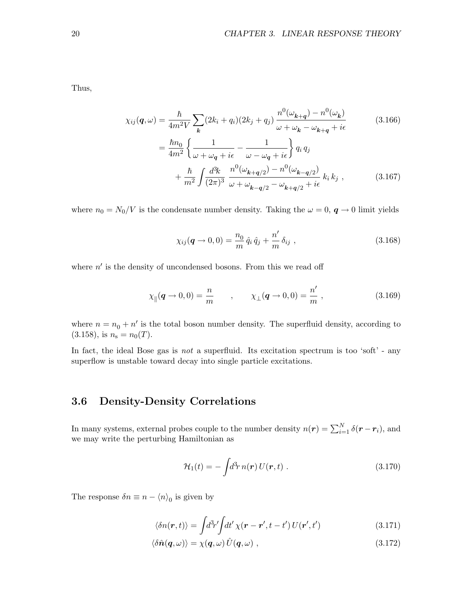Thus,

$$
\chi_{ij}(\mathbf{q},\omega) = \frac{\hbar}{4m^2V} \sum_{\mathbf{k}} (2k_i + q_i)(2k_j + q_j) \frac{n^0(\omega_{\mathbf{k}+\mathbf{q}}) - n^0(\omega_{\mathbf{k}})}{\omega + \omega_{\mathbf{k}} - \omega_{\mathbf{k}+\mathbf{q}} + i\epsilon}
$$
\n
$$
= \frac{\hbar n_0}{4m^2} \left\{ \frac{1}{\omega + \omega_{\mathbf{q}} + i\epsilon} - \frac{1}{\omega - \omega_{\mathbf{q}} + i\epsilon} \right\} q_i q_j + \frac{\hbar}{m^2} \int \frac{d^3k}{(2\pi)^3} \frac{n^0(\omega_{\mathbf{k}+\mathbf{q}/2}) - n^0(\omega_{\mathbf{k}-\mathbf{q}/2})}{\omega + \omega_{\mathbf{k}-\mathbf{q}/2} - \omega_{\mathbf{k}+\mathbf{q}/2} + i\epsilon} k_i k_j , \qquad (3.167)
$$

where  $n_0 = N_0/V$  is the condensate number density. Taking the  $\omega = 0$ ,  $\boldsymbol{q} \to 0$  limit yields

$$
\chi_{ij}(\mathbf{q} \to 0,0) = \frac{n_0}{m} \,\hat{q}_i \,\hat{q}_j + \frac{n'}{m} \,\delta_{ij} \,,\tag{3.168}
$$

where  $n'$  is the density of uncondensed bosons. From this we read off

$$
\chi_{\parallel}(\mathbf{q} \to 0, 0) = \frac{n}{m} \qquad , \qquad \chi_{\perp}(\mathbf{q} \to 0, 0) = \frac{n'}{m} \,, \tag{3.169}
$$

where  $n = n_0 + n'$  is the total boson number density. The superfluid density, according to  $(3.158)$ , is  $n_s = n_0(T)$ .

In fact, the ideal Bose gas is not a superfluid. Its excitation spectrum is too 'soft' - any superflow is unstable toward decay into single particle excitations.

# 3.6 Density-Density Correlations

In many systems, external probes couple to the number density  $n(r) = \sum_{i=1}^{N} \delta(r - r_i)$ , and we may write the perturbing Hamiltonian as

$$
\mathcal{H}_1(t) = -\int d^3r \, n(\mathbf{r}) \, U(\mathbf{r}, t) \; . \tag{3.170}
$$

The response  $\delta n \equiv n - \langle n \rangle_0$  is given by

$$
\langle \delta n(\mathbf{r},t) \rangle = \int d^3r' \int dt' \,\chi(\mathbf{r}-\mathbf{r}',t-t')\, U(\mathbf{r}',t') \tag{3.171}
$$

$$
\langle \delta \hat{n}(\boldsymbol{q},\omega) \rangle = \chi(\boldsymbol{q},\omega) \hat{U}(\boldsymbol{q},\omega) , \qquad (3.172)
$$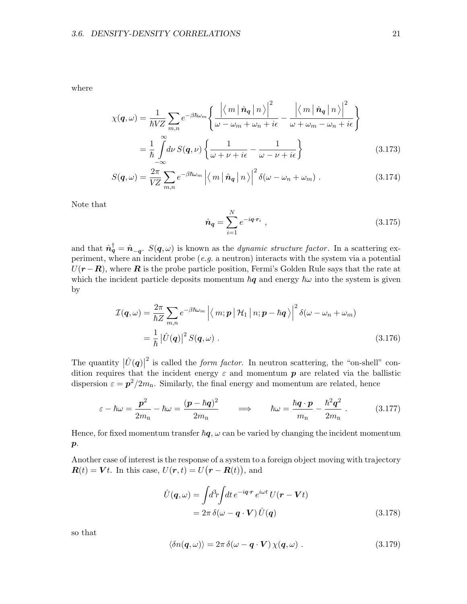where

$$
\chi(\mathbf{q},\omega) = \frac{1}{\hbar V Z} \sum_{m,n} e^{-\beta \hbar \omega_m} \left\{ \frac{\left| \left\langle m \left| \hat{\mathbf{n}}_{\mathbf{q}} \left| n \right\rangle \right|^{2}}{\omega - \omega_m + \omega_n + i\epsilon} - \frac{\left| \left\langle m \left| \hat{\mathbf{n}}_{\mathbf{q}} \left| n \right\rangle \right|^{2}}{\omega + \omega_m - \omega_n + i\epsilon} \right| \right\} \right\}
$$
\n
$$
= \frac{1}{\hbar} \int_{-\infty}^{\infty} d\nu S(\mathbf{q},\nu) \left\{ \frac{1}{\omega + \nu + i\epsilon} - \frac{1}{\omega - \nu + i\epsilon} \right\} \tag{3.173}
$$

$$
S(\boldsymbol{q},\omega) = \frac{2\pi}{VZ} \sum_{m,n} e^{-\beta\hbar\omega_m} \left| \langle m| \hat{\boldsymbol{n}}_{\boldsymbol{q}} | n \rangle \right|^2 \delta(\omega - \omega_n + \omega_m) . \tag{3.174}
$$

Note that

$$
\hat{n}_q = \sum_{i=1}^{N} e^{-iq \cdot r_i} \tag{3.175}
$$

and that  $\hat{\boldsymbol{n}}_q^{\dagger} = \hat{\boldsymbol{n}}_{-q}$ .  $S(\boldsymbol{q}, \omega)$  is known as the *dynamic structure factor*. In a scattering experiment, where an incident probe  $(e.g.$  a neutron) interacts with the system via a potential  $U(r - R)$ , where R is the probe particle position, Fermi's Golden Rule says that the rate at which the incident particle deposits momentum  $\bar{h}q$  and energy  $\bar{h}\omega$  into the system is given by

$$
\mathcal{I}(\boldsymbol{q},\omega) = \frac{2\pi}{\hbar Z} \sum_{m,n} e^{-\beta \hbar \omega_m} \left| \langle m; \boldsymbol{p} \, | \, \mathcal{H}_1 \, | \, n; \boldsymbol{p} - \hbar \boldsymbol{q} \, \rangle \right|^2 \delta(\omega - \omega_n + \omega_m)
$$
\n
$$
= \frac{1}{\hbar} \left| \hat{U}(\boldsymbol{q}) \right|^2 S(\boldsymbol{q}, \omega) \ . \tag{3.176}
$$

The quantity  $|\hat{U}(\boldsymbol{q})|$ <sup>2</sup> is called the *form factor*. In neutron scattering, the "on-shell" condition requires that the incident energy  $\varepsilon$  and momentum  $p$  are related via the ballistic dispersion  $\varepsilon = p^2/2m_n$ . Similarly, the final energy and momentum are related, hence

$$
\varepsilon - \hbar \omega = \frac{\mathbf{p}^2}{2m_n} - \hbar \omega = \frac{(\mathbf{p} - \hbar \mathbf{q})^2}{2m_n} \qquad \Longrightarrow \qquad \hbar \omega = \frac{\hbar \mathbf{q} \cdot \mathbf{p}}{m_n} - \frac{\hbar^2 \mathbf{q}^2}{2m_n} \ . \tag{3.177}
$$

Hence, for fixed momentum transfer  $\hbar q$ ,  $\omega$  can be varied by changing the incident momentum  $\boldsymbol{p}$ .

Another case of interest is the response of a system to a foreign object moving with trajectory  $\mathbf{R}(t) = \mathbf{V}t$ . In this case,  $U(\mathbf{r},t) = U(\mathbf{r} - \mathbf{R}(t)),$  and

$$
\hat{U}(\mathbf{q}, \omega) = \int d^3r \int dt \, e^{-i\mathbf{q} \cdot \mathbf{r}} \, e^{i\omega t} \, U(\mathbf{r} - \mathbf{V}t) \n= 2\pi \, \delta(\omega - \mathbf{q} \cdot \mathbf{V}) \, \hat{U}(\mathbf{q})
$$
\n(3.178)

so that

$$
\langle \delta n(\mathbf{q}, \omega) \rangle = 2\pi \, \delta(\omega - \mathbf{q} \cdot \mathbf{V}) \, \chi(\mathbf{q}, \omega) \; . \tag{3.179}
$$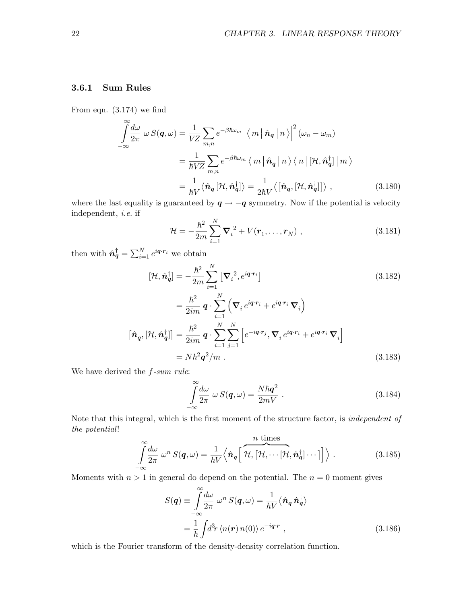### 3.6.1 Sum Rules

From eqn. (3.174) we find

$$
\int_{-\infty}^{\infty} \frac{d\omega}{2\pi} \omega S(\mathbf{q}, \omega) = \frac{1}{VZ} \sum_{m,n} e^{-\beta \hbar \omega_m} \left| \langle m | \hat{\mathbf{n}}_{\mathbf{q}} | n \rangle \right|^2 (\omega_n - \omega_m)
$$

$$
= \frac{1}{\hbar VZ} \sum_{m,n} e^{-\beta \hbar \omega_m} \langle m | \hat{\mathbf{n}}_{\mathbf{q}} | n \rangle \langle n | [\mathcal{H}, \hat{\mathbf{n}}_{\mathbf{q}}^{\dagger}] | m \rangle
$$

$$
= \frac{1}{\hbar V} \langle \hat{\mathbf{n}}_{\mathbf{q}} [\mathcal{H}, \hat{\mathbf{n}}_{\mathbf{q}}^{\dagger}] \rangle = \frac{1}{2\hbar V} \langle [\hat{\mathbf{n}}_{\mathbf{q}}, [\mathcal{H}, \hat{\mathbf{n}}_{\mathbf{q}}^{\dagger}] \rangle , \qquad (3.180)
$$

where the last equality is guaranteed by  $q \rightarrow -q$  symmetry. Now if the potential is velocity independent, i.e. if

$$
\mathcal{H} = -\frac{\hbar^2}{2m} \sum_{i=1}^{N} \nabla_i^2 + V(\mathbf{r}_1, \dots, \mathbf{r}_N) , \qquad (3.181)
$$

then with  $\hat{\boldsymbol{n}}_q^{\dagger} = \sum_{i=1}^{N} e^{i \boldsymbol{q} \cdot \boldsymbol{r}_i}$  we obtain

$$
[\mathcal{H}, \hat{\mathbf{n}}_q^\dagger] = -\frac{\hbar^2}{2m} \sum_{i=1}^N \left[ \nabla_i^2, e^{i\boldsymbol{q} \cdot \boldsymbol{r}_i} \right]
$$
\n
$$
= \frac{\hbar^2}{2im} \boldsymbol{q} \cdot \sum_{i=1}^N \left( \nabla_i e^{i\boldsymbol{q} \cdot \boldsymbol{r}_i} + e^{i\boldsymbol{q} \cdot \boldsymbol{r}_i} \nabla_i \right)
$$
\n
$$
[\hat{\mathbf{n}}_{\boldsymbol{q}}, [\mathcal{H}, \hat{\mathbf{n}}_{\boldsymbol{q}}^\dagger]] = \frac{\hbar^2}{2im} \boldsymbol{q} \cdot \sum_{i=1}^N \sum_{j=1}^N \left[ e^{-i\boldsymbol{q} \cdot \boldsymbol{r}_j}, \nabla_i e^{i\boldsymbol{q} \cdot \boldsymbol{r}_i} + e^{i\boldsymbol{q} \cdot \boldsymbol{r}_i} \nabla_i \right]
$$
\n
$$
= N \hbar^2 \boldsymbol{q}^2 / m .
$$
\n(3.183)

We have derived the  $f\text{-}sum rule$ :

$$
\int_{-\infty}^{\infty} \frac{d\omega}{2\pi} \ \omega \ S(\mathbf{q}, \omega) = \frac{N\hbar \mathbf{q}^2}{2mV} \ . \tag{3.184}
$$

Note that this integral, which is the first moment of the structure factor, is independent of the potential!

$$
\int_{-\infty}^{\infty} \frac{d\omega}{2\pi} \ \omega^n \ S(\mathbf{q}, \omega) = \frac{1}{\hbar V} \Big\langle \hat{\mathbf{n}}_{\mathbf{q}} \Big[ \ \overbrace{\mathcal{H}, \big[ \mathcal{H}, \cdots [ \mathcal{H}, \hat{\mathbf{n}}_{\mathbf{q}}^{\dagger} \big] \cdots \big]}^{\text{$n$ times}} \Big] \Big\rangle \ . \tag{3.185}
$$

Moments with  $n > 1$  in general do depend on the potential. The  $n = 0$  moment gives

$$
S(\mathbf{q}) \equiv \int_{-\infty}^{\infty} \frac{d\omega}{2\pi} \ \omega^n \ S(\mathbf{q}, \omega) = \frac{1}{\hbar V} \langle \hat{\mathbf{n}}_{\mathbf{q}} \hat{\mathbf{n}}_{\mathbf{q}}^{\dagger} \rangle
$$

$$
= \frac{1}{\hbar} \int d^3 r \ \langle n(\mathbf{r}) \, n(0) \rangle \, e^{-i\mathbf{q} \cdot \mathbf{r}} \ , \tag{3.186}
$$

which is the Fourier transform of the density-density correlation function.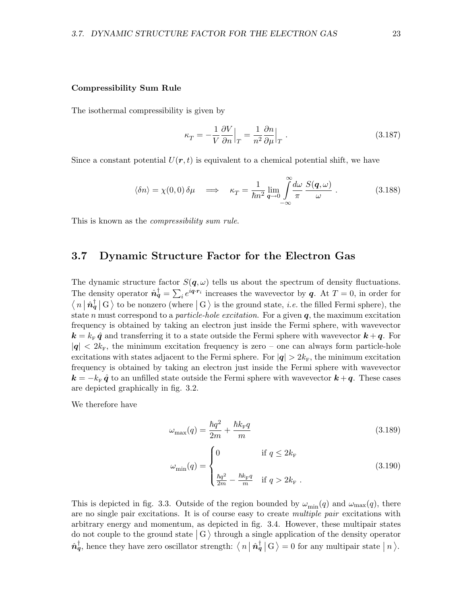#### Compressibility Sum Rule

The isothermal compressibility is given by

$$
\kappa_T = -\frac{1}{V} \frac{\partial V}{\partial n} \Big|_T = \frac{1}{n^2} \frac{\partial n}{\partial \mu} \Big|_T . \tag{3.187}
$$

Since a constant potential  $U(r, t)$  is equivalent to a chemical potential shift, we have

$$
\langle \delta n \rangle = \chi(0,0) \, \delta \mu \quad \Longrightarrow \quad \kappa_T = \frac{1}{\hbar n^2} \lim_{\mathbf{q} \to 0} \int_{-\infty}^{\infty} \frac{d\omega}{\pi} \, \frac{S(\mathbf{q},\omega)}{\omega} \, . \tag{3.188}
$$

This is known as the *compressibility sum rule*.

## 3.7 Dynamic Structure Factor for the Electron Gas

The dynamic structure factor  $S(q,\omega)$  tells us about the spectrum of density fluctuations. The density operator  $\hat{n}_q^{\dagger} = \sum_i e^{iq \cdot r_i}$  increases the wavevector by q. At  $T = 0$ , in order for  $\langle n | \hat{n}_q^{\dagger} | G \rangle$  to be nonzero (where  $| G \rangle$  is the ground state, *i.e.* the filled Fermi sphere), the state n must correspond to a *particle-hole excitation*. For a given  $q$ , the maximum excitation frequency is obtained by taking an electron just inside the Fermi sphere, with wavevector  $k = k_{\rm F} \hat{q}$  and transferring it to a state outside the Fermi sphere with wavevector  $k + q$ . For  $|q| < 2k_F$ , the minimum excitation frequency is zero – one can always form particle-hole excitations with states adjacent to the Fermi sphere. For  $|q| > 2k_F$ , the minimum excitation frequency is obtained by taking an electron just inside the Fermi sphere with wavevector  $k = -k_{\rm F} \hat{q}$  to an unfilled state outside the Fermi sphere with wavevector  $k + q$ . These cases are depicted graphically in fig. 3.2.

We therefore have

$$
\omega_{\text{max}}(q) = \frac{\hbar q^2}{2m} + \frac{\hbar k_{\text{F}} q}{m} \tag{3.189}
$$

$$
\omega_{\min}(q) = \begin{cases}\n0 & \text{if } q \leq 2k_{\mathrm{F}} \\
\frac{\hbar q^2}{2m} - \frac{\hbar k_{\mathrm{F}} q}{m} & \text{if } q > 2k_{\mathrm{F}}\n\end{cases}
$$
\n(3.190)

This is depicted in fig. 3.3. Outside of the region bounded by  $\omega_{\text{min}}(q)$  and  $\omega_{\text{max}}(q)$ , there are no single pair excitations. It is of course easy to create multiple pair excitations with arbitrary energy and momentum, as depicted in fig. 3.4. However, these multipair states do not couple to the ground state  $|G\rangle$  through a single application of the density operator  $\hat{\boldsymbol{n}}_q^{\dagger}$ , hence they have zero oscillator strength:  $\langle n | \hat{\boldsymbol{n}}_q^{\dagger} | G \rangle = 0$  for any multipair state  $|n\rangle$ .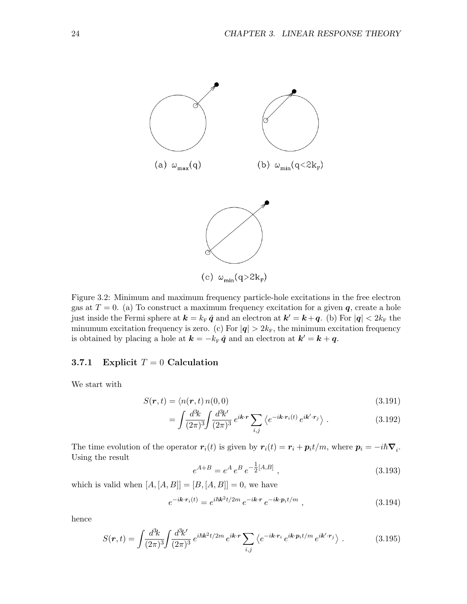

Figure 3.2: Minimum and maximum frequency particle-hole excitations in the free electron gas at  $T = 0$ . (a) To construct a maximum frequency excitation for a given  $q$ , create a hole just inside the Fermi sphere at  $\mathbf{k} = k_{\rm F} \hat{\mathbf{q}}$  and an electron at  $\mathbf{k}' = \mathbf{k} + \mathbf{q}$ . (b) For  $|\mathbf{q}| < 2k_{\rm F}$  the minumum excitation frequency is zero. (c) For  $|q| > 2k_F$ , the minimum excitation frequency is obtained by placing a hole at  $\mathbf{k} = -k_{\rm F} \hat{\mathbf{q}}$  and an electron at  $\mathbf{k}' = \mathbf{k} + \mathbf{q}$ .

#### 3.7.1 Explicit  $T = 0$  Calculation

We start with

$$
S(\mathbf{r},t) = \langle n(\mathbf{r},t) n(0,0) \tag{3.191}
$$

$$
= \int \frac{d^3k}{(2\pi)^3} \int \frac{d^3k'}{(2\pi)^3} e^{i\mathbf{k} \cdot \mathbf{r}} \sum_{i,j} \left\langle e^{-i\mathbf{k} \cdot \mathbf{r}_i(t)} e^{i\mathbf{k}' \cdot \mathbf{r}_j} \right\rangle.
$$
 (3.192)

The time evolution of the operator  $r_i(t)$  is given by  $r_i(t) = r_i + p_i t/m$ , where  $p_i = -i\hbar \nabla_i$ . Using the result

$$
e^{A+B} = e^A e^B e^{-\frac{1}{2}[A,B]}, \qquad (3.193)
$$

which is valid when  $[A, [A, B]] = [B, [A, B]] = 0$ , we have

$$
e^{-i\mathbf{k}\cdot\mathbf{r}_i(t)} = e^{i\hbar\mathbf{k}^2t/2m} e^{-i\mathbf{k}\cdot\mathbf{r}} e^{-i\mathbf{k}\cdot\mathbf{p}_i t/m} , \qquad (3.194)
$$

hence

$$
S(r,t) = \int \frac{d^3k}{(2\pi)^3} \int \frac{d^3k'}{(2\pi)^3} e^{i\hbar k^2 t/2m} e^{i\mathbf{k} \cdot \mathbf{r}} \sum_{i,j} \left\langle e^{-i\mathbf{k} \cdot \mathbf{r}_i} e^{i\mathbf{k} \cdot \mathbf{p}_i t/m} e^{i\mathbf{k}' \cdot \mathbf{r}_j} \right\rangle.
$$
 (3.195)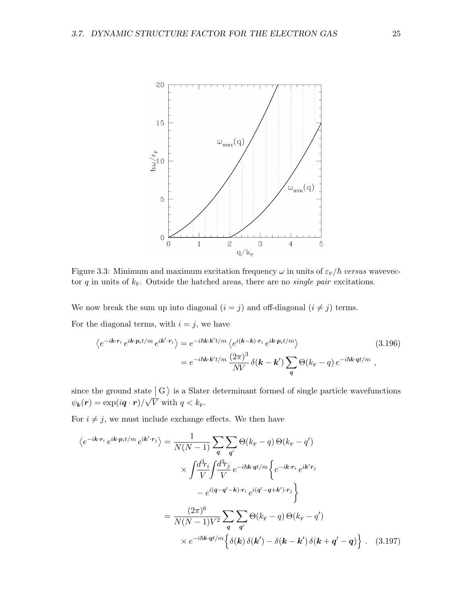

Figure 3.3: Minimum and maximum excitation frequency  $\omega$  in units of  $\varepsilon_{\rm F}/\hbar$  versus wavevector q in units of  $k_F$ . Outside the hatched areas, there are no *single pair* excitations.

We now break the sum up into diagonal  $(i = j)$  and off-diagonal  $(i \neq j)$  terms. For the diagonal terms, with  $i = j$ , we have

$$
\langle e^{-i\mathbf{k}\cdot\mathbf{r}_i} e^{i\mathbf{k}\cdot\mathbf{p}_i t/m} e^{i\mathbf{k}'\cdot\mathbf{r}_i} \rangle = e^{-i\hbar\mathbf{k}\cdot\mathbf{k}'t/m} \langle e^{i(\mathbf{k}-\mathbf{k})\cdot\mathbf{r}_i} e^{i\mathbf{k}\cdot\mathbf{p}_i t/m} \rangle
$$
(3.196)  

$$
= e^{-i\hbar\mathbf{k}\cdot\mathbf{k}'t/m} \frac{(2\pi)^3}{NV} \delta(\mathbf{k}-\mathbf{k}') \sum_{q} \Theta(k_{\rm F}-q) e^{-i\hbar\mathbf{k}\cdot\mathbf{q}t/m} ,
$$

since the ground state  $\begin{pmatrix} G \\ \end{pmatrix}$  is a Slater determinant formed of single particle wavefunctions  $\psi_{\bm{k}}(\bm{r})=\exp(i\bm{q}\cdot\bm{r})/$ √ V with  $q < k_{\rm F}$ .

For  $i \neq j$ , we must include exchange effects. We then have

$$
\langle e^{-i\mathbf{k}\cdot\mathbf{r}_{i}} e^{i\mathbf{k}\cdot\mathbf{p}_{i}t/m} e^{i\mathbf{k}'\cdot\mathbf{r}_{j}} \rangle = \frac{1}{N(N-1)} \sum_{\mathbf{q}} \sum_{\mathbf{q}'} \Theta(k_{\mathrm{F}} - q) \Theta(k_{\mathrm{F}} - q')
$$
  

$$
\times \int \frac{d^{3}r_{i}}{V} \int \frac{d^{3}r_{j}}{V} e^{-i\hbar\mathbf{k}\cdot\mathbf{q}t/m} \Big\{ e^{-i\mathbf{k}\cdot\mathbf{r}_{i}} e^{i\mathbf{k}'r_{j}}
$$

$$
- e^{i(q-q'-\mathbf{k})\cdot\mathbf{r}_{i}} e^{i(q'-q+\mathbf{k}')\cdot\mathbf{r}_{j}} \Big\}
$$

$$
= \frac{(2\pi)^{6}}{N(N-1)V^{2}} \sum_{\mathbf{q}} \sum_{\mathbf{q}'} \Theta(k_{\mathrm{F}} - q) \Theta(k_{\mathrm{F}} - q')
$$

$$
\times e^{-i\hbar\mathbf{k}\cdot\mathbf{q}t/m} \Big\{ \delta(\mathbf{k}) \delta(\mathbf{k}') - \delta(\mathbf{k} - \mathbf{k}') \delta(\mathbf{k} + \mathbf{q}' - \mathbf{q}) \Big\} . \quad (3.197)
$$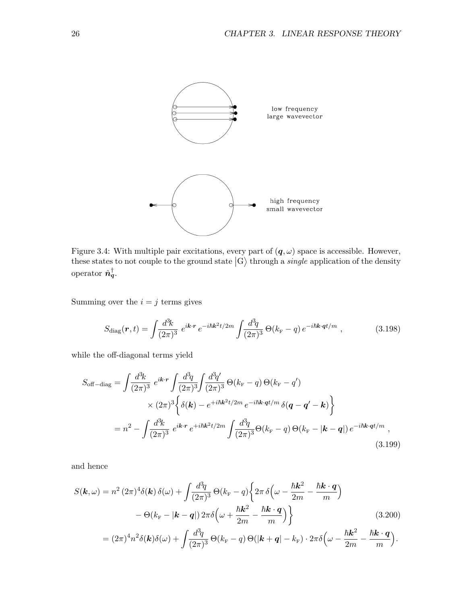

Figure 3.4: With multiple pair excitations, every part of  $(q, \omega)$  space is accessible. However, these states to not couple to the ground state  $|G\rangle$  through a *single* application of the density operator  $\hat{\boldsymbol{n}}_q^{\dagger}$ .

Summing over the  $i = j$  terms gives

$$
S_{\text{diag}}(\boldsymbol{r},t) = \int \frac{d^3k}{(2\pi)^3} \ e^{i\boldsymbol{k}\cdot\boldsymbol{r}} \ e^{-i\hbar\boldsymbol{k}^2 t/2m} \int \frac{d^3q}{(2\pi)^3} \ \Theta(k_{\rm F} - q) \ e^{-i\hbar\boldsymbol{k}\cdot\boldsymbol{q}t/m} \ , \tag{3.198}
$$

while the off-diagonal terms yield

$$
S_{\text{off-diag}} = \int \frac{d^3k}{(2\pi)^3} e^{ik \cdot r} \int \frac{d^3q}{(2\pi)^3} \int \frac{d^3q'}{(2\pi)^3} \Theta(k_{\text{F}} - q) \Theta(k_{\text{F}} - q')
$$
  
 
$$
\times (2\pi)^3 \left\{ \delta(\mathbf{k}) - e^{+i\hbar k^2 t/2m} e^{-i\hbar k \cdot q t/m} \delta(q - q' - k) \right\}
$$
  

$$
= n^2 - \int \frac{d^3k}{(2\pi)^3} e^{ik \cdot r} e^{+i\hbar k^2 t/2m} \int \frac{d^3q}{(2\pi)^3} \Theta(k_{\text{F}} - q) \Theta(k_{\text{F}} - |\mathbf{k} - q|) e^{-i\hbar k \cdot q t/m} ,
$$
  
(3.199)

and hence

$$
S(\mathbf{k}, \omega) = n^2 (2\pi)^4 \delta(\mathbf{k}) \delta(\omega) + \int \frac{d^3q}{(2\pi)^3} \Theta(k_{\rm F} - q) \left\{ 2\pi \delta \left( \omega - \frac{\hbar \mathbf{k}^2}{2m} - \frac{\hbar \mathbf{k} \cdot \mathbf{q}}{m} \right) \right.- \Theta(k_{\rm F} - |\mathbf{k} - \mathbf{q}|) 2\pi \delta \left( \omega + \frac{\hbar \mathbf{k}^2}{2m} - \frac{\hbar \mathbf{k} \cdot \mathbf{q}}{m} \right) \right\}
$$
(3.200)  
=  $(2\pi)^4 n^2 \delta(\mathbf{k}) \delta(\omega) + \int \frac{d^3q}{(2\pi)^3} \Theta(k_{\rm F} - q) \Theta(|\mathbf{k} + \mathbf{q}| - k_{\rm F}) \cdot 2\pi \delta \left( \omega - \frac{\hbar \mathbf{k}^2}{2m} - \frac{\hbar \mathbf{k} \cdot \mathbf{q}}{m} \right).$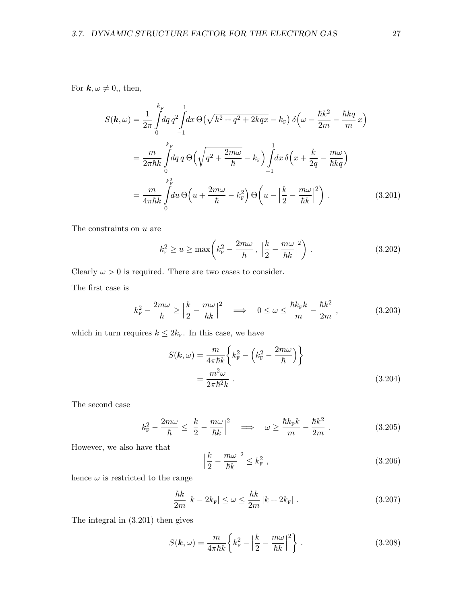For  $k, \omega \neq 0$ ,, then,

$$
S(\mathbf{k}, \omega) = \frac{1}{2\pi} \int_0^{k_{\rm F}} dq \, q^2 \int_{-1}^1 dx \, \Theta\left(\sqrt{k^2 + q^2 + 2kqx} - k_{\rm F}\right) \delta\left(\omega - \frac{\hbar k^2}{2m} - \frac{\hbar kq}{m}x\right)
$$

$$
= \frac{m}{2\pi\hbar k} \int_0^{k_{\rm F}} dq \, q \, \Theta\left(\sqrt{q^2 + \frac{2m\omega}{\hbar}} - k_{\rm F}\right) \int_{-1}^1 dx \, \delta\left(x + \frac{k}{2q} - \frac{m\omega}{\hbar kq}\right)
$$

$$
= \frac{m}{4\pi\hbar k} \int_0^{k_{\rm F}^2} du \, \Theta\left(u + \frac{2m\omega}{\hbar} - k_{\rm F}^2\right) \Theta\left(u - \left|\frac{k}{2} - \frac{m\omega}{\hbar k}\right|^2\right) \,. \tag{3.201}
$$

The constraints on u are

$$
k_{\rm F}^2 \ge u \ge \max\left(k_{\rm F}^2 - \frac{2m\omega}{\hbar} \cdot \left|\frac{k}{2} - \frac{m\omega}{\hbar k}\right|^2\right) \,. \tag{3.202}
$$

Clearly  $\omega > 0$  is required. There are two cases to consider.

k

The first case is

$$
k_{\rm F}^2 - \frac{2m\omega}{\hbar} \ge \left| \frac{k}{2} - \frac{m\omega}{\hbar k} \right|^2 \quad \Longrightarrow \quad 0 \le \omega \le \frac{\hbar k_{\rm F} k}{m} - \frac{\hbar k^2}{2m} \;, \tag{3.203}
$$

which in turn requires  $k \leq 2k_{\text{F}}$ . In this case, we have

$$
S(\mathbf{k}, \omega) = \frac{m}{4\pi\hbar k} \left\{ k_{\rm F}^2 - \left( k_{\rm F}^2 - \frac{2m\omega}{\hbar} \right) \right\}
$$
  
= 
$$
\frac{m^2 \omega}{2\pi\hbar^2 k} .
$$
 (3.204)

The second case

$$
k_{\rm F}^2 - \frac{2m\omega}{\hbar} \le \left| \frac{k}{2} - \frac{m\omega}{\hbar k} \right|^2 \quad \Longrightarrow \quad \omega \ge \frac{\hbar k_{\rm F} k}{m} - \frac{\hbar k^2}{2m} \; . \tag{3.205}
$$

However, we also have that

$$
\left|\frac{k}{2} - \frac{m\omega}{\hbar k}\right|^2 \le k_{\rm F}^2 \,,\tag{3.206}
$$

hence  $\omega$  is restricted to the range

$$
\frac{\hbar k}{2m} |k - 2k_{\rm F}| \le \omega \le \frac{\hbar k}{2m} |k + 2k_{\rm F}| \tag{3.207}
$$

The integral in (3.201) then gives

$$
S(\mathbf{k}, \omega) = \frac{m}{4\pi\hbar k} \left\{ k_{\rm F}^2 - \left| \frac{k}{2} - \frac{m\omega}{\hbar k} \right|^2 \right\}.
$$
 (3.208)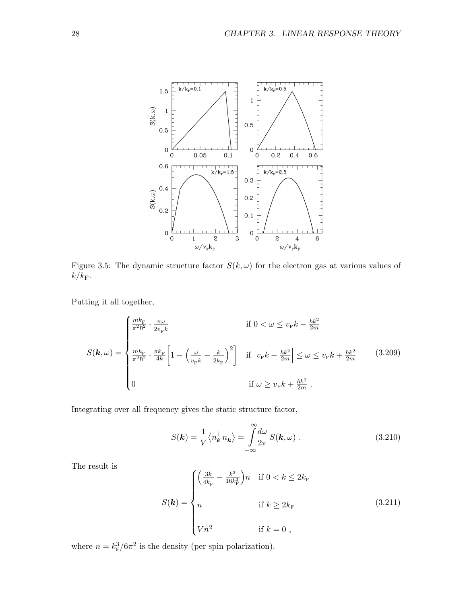

Figure 3.5: The dynamic structure factor  $S(k, \omega)$  for the electron gas at various values of  $k/k_{\rm F}$ .

Putting it all together,

$$
S(\mathbf{k},\omega) = \begin{cases} \frac{mk_{\mathrm{F}}}{\pi^2 \hbar^2} \cdot \frac{\pi \omega}{2v_{\mathrm{F}} k} & \text{if } 0 < \omega \le v_{\mathrm{F}} k - \frac{\hbar k^2}{2m} \\ \frac{mk_{\mathrm{F}}}{\pi^2 \hbar^2} \cdot \frac{\pi k_{\mathrm{F}}}{4k} \left[ 1 - \left( \frac{\omega}{v_{\mathrm{F}} k} - \frac{k}{2k_{\mathrm{F}}} \right)^2 \right] & \text{if } \left| v_{\mathrm{F}} k - \frac{\hbar k^2}{2m} \right| \le \omega \le v_{\mathrm{F}} k + \frac{\hbar k^2}{2m} \end{cases} \tag{3.209}
$$
\n
$$
0 & \text{if } \omega \ge v_{\mathrm{F}} k + \frac{\hbar k^2}{2m} \text{ .}
$$

Integrating over all frequency gives the static structure factor,

$$
S(\mathbf{k}) = \frac{1}{V} \langle n_{\mathbf{k}}^{\dagger} n_{\mathbf{k}} \rangle = \int_{-\infty}^{\infty} \frac{d\omega}{2\pi} S(\mathbf{k}, \omega) .
$$
 (3.210)

The result is

$$
S(\mathbf{k}) = \begin{cases} \left(\frac{3k}{4k_{\rm F}} - \frac{k^3}{16k_{\rm F}^3}\right)n & \text{if } 0 < k \le 2k_{\rm F} \\ n & \text{if } k \ge 2k_{\rm F} \\ Wn^2 & \text{if } k = 0 \end{cases} \tag{3.211}
$$

where  $n = k_F^3/6\pi^2$  is the density (per spin polarization).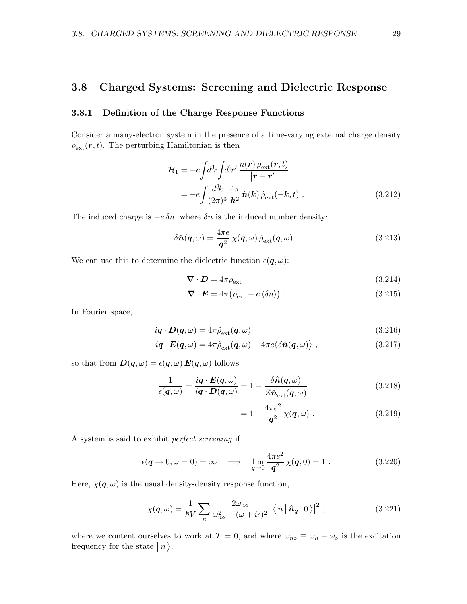# 3.8 Charged Systems: Screening and Dielectric Response

#### 3.8.1 Definition of the Charge Response Functions

Consider a many-electron system in the presence of a time-varying external charge density  $\rho_{\text{ext}}(\boldsymbol{r},t)$ . The perturbing Hamiltonian is then

$$
\mathcal{H}_1 = -e \int d^3r \int d^3r' \frac{n(\mathbf{r}) \rho_{\text{ext}}(\mathbf{r}, t)}{|\mathbf{r} - \mathbf{r}'|} \n= -e \int \frac{d^3k}{(2\pi)^3} \frac{4\pi}{k^2} \hat{n}(\mathbf{k}) \hat{\rho}_{\text{ext}}(-\mathbf{k}, t) .
$$
\n(3.212)

The induced charge is  $-e \, \delta n$ , where  $\delta n$  is the induced number density:

$$
\delta \hat{n}(\boldsymbol{q},\omega) = \frac{4\pi e}{\boldsymbol{q}^2} \,\chi(\boldsymbol{q},\omega) \,\hat{\rho}_{\text{ext}}(\boldsymbol{q},\omega) \,. \tag{3.213}
$$

We can use this to determine the dielectric function  $\epsilon(\mathbf{q}, \omega)$ :

$$
\nabla \cdot \mathbf{D} = 4\pi \rho_{\text{ext}} \tag{3.214}
$$

$$
\nabla \cdot \boldsymbol{E} = 4\pi \big(\rho_{\text{ext}} - e \langle \delta n \rangle \big) . \tag{3.215}
$$

In Fourier space,

$$
i\boldsymbol{q} \cdot \boldsymbol{D}(\boldsymbol{q},\omega) = 4\pi \hat{\rho}_{\text{ext}}(\boldsymbol{q},\omega) \tag{3.216}
$$

$$
i\boldsymbol{q} \cdot \boldsymbol{E}(\boldsymbol{q},\omega) = 4\pi \hat{\rho}_{\text{ext}}(\boldsymbol{q},\omega) - 4\pi e \langle \delta \hat{\boldsymbol{n}}(\boldsymbol{q},\omega) \rangle , \qquad (3.217)
$$

so that from  $D(q, \omega) = \epsilon(q, \omega) E(q, \omega)$  follows

$$
\frac{1}{\epsilon(\boldsymbol{q},\omega)} = \frac{i\boldsymbol{q} \cdot \boldsymbol{E}(\boldsymbol{q},\omega)}{i\boldsymbol{q} \cdot \boldsymbol{D}(\boldsymbol{q},\omega)} = 1 - \frac{\delta \hat{\boldsymbol{n}}(\boldsymbol{q},\omega)}{Z \hat{\boldsymbol{n}}_{\text{ext}}(\boldsymbol{q},\omega)}
$$
(3.218)

$$
= 1 - \frac{4\pi e^2}{q^2} \chi(q,\omega) . \tag{3.219}
$$

A system is said to exhibit perfect screening if

$$
\epsilon(\mathbf{q} \to 0, \omega = 0) = \infty \quad \Longrightarrow \quad \lim_{\mathbf{q} \to 0} \frac{4\pi e^2}{\mathbf{q}^2} \chi(\mathbf{q}, 0) = 1 \tag{3.220}
$$

Here,  $\chi(\mathbf{q}, \omega)$  is the usual density-density response function,

$$
\chi(\mathbf{q},\omega) = \frac{1}{\hbar V} \sum_{n} \frac{2\omega_{n\circ}}{\omega_{n\circ}^2 - (\omega + i\epsilon)^2} \left| \left\langle n \left| \hat{\mathbf{n}}_{\mathbf{q}} \right| 0 \right\rangle \right|^2, \tag{3.221}
$$

where we content ourselves to work at  $T = 0$ , and where  $\omega_{n} \equiv \omega_n - \omega_o$  is the excitation frequency for the state  $|n\rangle$ .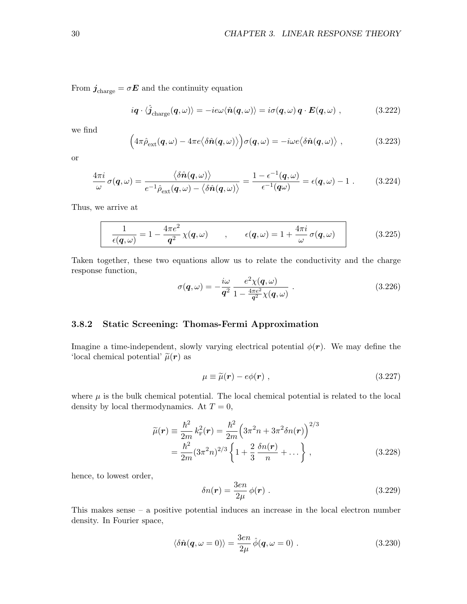From  $\boldsymbol{j}_{\text{charge}} = \sigma \boldsymbol{E}$  and the continuity equation

$$
iq \cdot \langle \hat{j}_{\text{charge}}(q,\omega) \rangle = -ie\omega \langle \hat{n}(q,\omega) \rangle = i\sigma(q,\omega) \, q \cdot E(q,\omega) \;, \tag{3.222}
$$

we find

$$
\left(4\pi\hat{\rho}_{ext}(q,\omega)-4\pi e\langle\delta\hat{n}(q,\omega)\rangle\right)\sigma(q,\omega)=-i\omega e\langle\delta\hat{n}(q,\omega)\rangle ,\qquad (3.223)
$$

or

$$
\frac{4\pi i}{\omega}\sigma(\boldsymbol{q},\omega) = \frac{\langle \delta \hat{\boldsymbol{n}}(\boldsymbol{q},\omega) \rangle}{e^{-1}\hat{\rho}_{\text{ext}}(\boldsymbol{q},\omega) - \langle \delta \hat{\boldsymbol{n}}(\boldsymbol{q},\omega) \rangle} = \frac{1 - \epsilon^{-1}(\boldsymbol{q},\omega)}{\epsilon^{-1}(\boldsymbol{q}\omega)} = \epsilon(\boldsymbol{q},\omega) - 1. \tag{3.224}
$$

Thus, we arrive at

$$
\frac{1}{\epsilon(\boldsymbol{q},\omega)} = 1 - \frac{4\pi e^2}{\boldsymbol{q}^2} \chi(\boldsymbol{q},\omega) \qquad , \qquad \epsilon(\boldsymbol{q},\omega) = 1 + \frac{4\pi i}{\omega} \sigma(\boldsymbol{q},\omega) \qquad (3.225)
$$

Taken together, these two equations allow us to relate the conductivity and the charge response function,

$$
\sigma(\boldsymbol{q},\omega) = -\frac{i\omega}{\boldsymbol{q}^2} \frac{e^2 \chi(\boldsymbol{q},\omega)}{1 - \frac{4\pi e^2}{\boldsymbol{q}^2} \chi(\boldsymbol{q},\omega)}.
$$
\n(3.226)

#### 3.8.2 Static Screening: Thomas-Fermi Approximation

Imagine a time-independent, slowly varying electrical potential  $\phi(\mathbf{r})$ . We may define the 'local chemical potential'  $\tilde{\mu}(\mathbf{r})$  as

$$
\mu \equiv \widetilde{\mu}(\mathbf{r}) - e\phi(\mathbf{r}) \;, \tag{3.227}
$$

where  $\mu$  is the bulk chemical potential. The local chemical potential is related to the local density by local thermodynamics. At  $T = 0$ ,

$$
\widetilde{\mu}(\mathbf{r}) \equiv \frac{\hbar^2}{2m} k_{\rm F}^2(\mathbf{r}) = \frac{\hbar^2}{2m} \left( 3\pi^2 n + 3\pi^2 \delta n(\mathbf{r}) \right)^{2/3} \n= \frac{\hbar^2}{2m} (3\pi^2 n)^{2/3} \left\{ 1 + \frac{2}{3} \frac{\delta n(\mathbf{r})}{n} + \dots \right\},
$$
\n(3.228)

hence, to lowest order,

$$
\delta n(\mathbf{r}) = \frac{3en}{2\mu} \phi(\mathbf{r}) \tag{3.229}
$$

This makes sense – a positive potential induces an increase in the local electron number density. In Fourier space,

$$
\langle \delta \hat{n}(\mathbf{q}, \omega = 0) \rangle = \frac{3en}{2\mu} \hat{\phi}(\mathbf{q}, \omega = 0) . \tag{3.230}
$$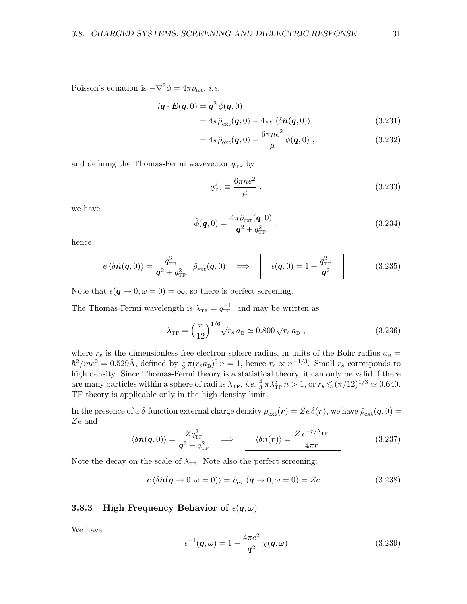Poisson's equation is  $-\nabla^2 \phi = 4\pi \rho_{\text{tot}}$ , *i.e.* 

$$
i\boldsymbol{q} \cdot \boldsymbol{E}(\boldsymbol{q},0) = \boldsymbol{q}^2 \hat{\phi}(\boldsymbol{q},0)
$$
  
=  $4\pi \hat{\rho}_{ext}(\boldsymbol{q},0) - 4\pi e \langle \delta \hat{\boldsymbol{n}}(\boldsymbol{q},0) \rangle$  (3.231)

$$
=4\pi\hat{\rho}_{ext}(\mathbf{q},0)-\frac{6\pi ne^2}{\mu}\hat{\phi}(\mathbf{q},0), \qquad (3.232)
$$

and defining the Thomas-Fermi wavevector  $q_{TF}$  by

$$
q_{\rm TF}^2 \equiv \frac{6\pi n e^2}{\mu} \,,\tag{3.233}
$$

we have

$$
\hat{\phi}(\mathbf{q},0) = \frac{4\pi \hat{\rho}_{ext}(\mathbf{q},0)}{\mathbf{q}^2 + q_{TF}^2} ,\qquad(3.234)
$$

hence

$$
e \langle \delta \hat{n}(\boldsymbol{q},0) \rangle = \frac{q_{\text{TF}}^2}{\boldsymbol{q}^2 + q_{\text{TF}}^2} \cdot \hat{\rho}_{\text{ext}}(\boldsymbol{q},0) \quad \Longrightarrow \quad \mathbf{e}(\boldsymbol{q},0) = 1 + \frac{q_{\text{TF}}^2}{\boldsymbol{q}^2} \tag{3.235}
$$

Note that  $\epsilon(\mathbf{q} \to 0, \omega = 0) = \infty$ , so there is perfect screening.

The Thomas-Fermi wavelength is  $\lambda_{\text{TF}} = q_{\text{TF}}^{-1}$ , and may be written as

$$
\lambda_{\rm TF} = \left(\frac{\pi}{12}\right)^{1/6} \sqrt{r_s} \, a_{\rm B} \simeq 0.800 \sqrt{r_s} \, a_{\rm B} \,,\tag{3.236}
$$

where  $r_s$  is the dimensionless free electron sphere radius, in units of the Bohr radius  $a_B =$  $\hbar^2/m_e^2 = 0.529\text{\AA}$ , defined by  $\frac{4}{3}\pi (r_s a_B)^3 n = 1$ , hence  $r_s \propto n^{-1/3}$ . Small  $r_s$  corresponds to high density. Since Thomas-Fermi theory is a statistical theory, it can only be valid if there are many particles within a sphere of radius  $\lambda_{\text{TF}}$ , *i.e.*  $\frac{4}{3} \pi \lambda_{\text{TF}}^3 n > 1$ , or  $r_s \lesssim (\pi/12)^{1/3} \simeq 0.640$ . TF theory is applicable only in the high density limit.

In the presence of a  $\delta$ -function external charge density  $\rho_{ext}(\mathbf{r}) = Ze \delta(\mathbf{r})$ , we have  $\hat{\rho}_{ext}(\mathbf{q},0) =$ Ze and

$$
\langle \delta \hat{n}(\boldsymbol{q},0) \rangle = \frac{Z q_{\text{TF}}^2}{\boldsymbol{q}^2 + q_{\text{TF}}^2} \quad \Longrightarrow \quad \langle \delta n(\boldsymbol{r}) \rangle = \frac{Z e^{-r/\lambda_{\text{TF}}}}{4\pi r} \tag{3.237}
$$

Note the decay on the scale of  $\lambda_{\text{TF}}$ . Note also the perfect screening:

$$
e\langle \delta \hat{n}(\mathbf{q} \to 0, \omega = 0) \rangle = \hat{\rho}_{\text{ext}}(\mathbf{q} \to 0, \omega = 0) = Ze.
$$
 (3.238)

#### 3.8.3 High Frequency Behavior of  $\epsilon(q,\omega)$

We have

$$
\epsilon^{-1}(\boldsymbol{q},\omega) = 1 - \frac{4\pi e^2}{\boldsymbol{q}^2} \chi(\boldsymbol{q},\omega) \tag{3.239}
$$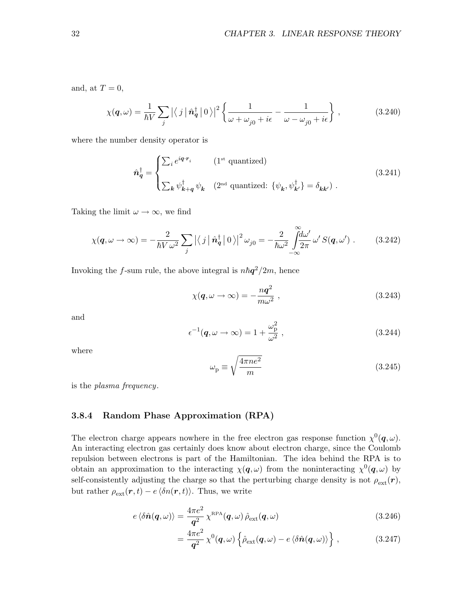and, at  $T = 0$ ,

$$
\chi(\mathbf{q},\omega) = \frac{1}{\hbar V} \sum_{j} \left| \left\langle j \left| \hat{\mathbf{n}}_{\mathbf{q}}^{\dagger} \right| 0 \right\rangle \right|^{2} \left\{ \frac{1}{\omega + \omega_{j0} + i\epsilon} - \frac{1}{\omega - \omega_{j0} + i\epsilon} \right\},\tag{3.240}
$$

where the number density operator is

$$
\hat{n}_q^{\dagger} = \begin{cases}\n\sum_i e^{iq \cdot r_i} & (\mathbf{1}^{\text{st}} \text{ quantized}) \\
\sum_k \psi_{k+q}^{\dagger} \psi_k & (\mathbf{2}^{\text{nd}} \text{ quantized: } \{\psi_k, \psi_{k'}^{\dagger}\} = \delta_{kk'})\n\end{cases} \tag{3.241}
$$

Taking the limit  $\omega \to \infty$ , we find

$$
\chi(\mathbf{q},\omega \to \infty) = -\frac{2}{\hbar V \omega^2} \sum_j |\langle j | \hat{\mathbf{n}}_{\mathbf{q}}^{\dagger} | 0 \rangle|^2 \omega_{j0} = -\frac{2}{\hbar \omega^2} \int_{-\infty}^{\infty} \frac{d\omega'}{2\pi} \omega' S(\mathbf{q},\omega') . \tag{3.242}
$$

Invoking the f-sum rule, the above integral is  $n\hbar q^2/2m$ , hence

$$
\chi(\boldsymbol{q},\omega \to \infty) = -\frac{n\boldsymbol{q}^2}{m\omega^2} \,, \tag{3.243}
$$

Z∞

and

$$
\epsilon^{-1}(\boldsymbol{q},\omega \to \infty) = 1 + \frac{\omega_{\rm p}^2}{\omega^2} \,, \tag{3.244}
$$

where

$$
\omega_{\rm p} \equiv \sqrt{\frac{4\pi n e^2}{m}}\tag{3.245}
$$

is the plasma frequency.

#### 3.8.4 Random Phase Approximation (RPA)

The electron charge appears nowhere in the free electron gas response function  $\chi^0(\mathbf{q}, \omega)$ . An interacting electron gas certainly does know about electron charge, since the Coulomb repulsion between electrons is part of the Hamiltonian. The idea behind the RPA is to obtain an approximation to the interacting  $\chi(q,\omega)$  from the noninteracting  $\chi^0(q,\omega)$  by self-consistently adjusting the charge so that the perturbing charge density is not  $\rho_{ext}(\boldsymbol{r})$ , but rather  $\rho_{ext}(\mathbf{r}, t) - e \langle \delta n(\mathbf{r}, t) \rangle$ . Thus, we write

$$
e \langle \delta \hat{n}(\boldsymbol{q}, \omega) \rangle = \frac{4\pi e^2}{\boldsymbol{q}^2} \chi^{\text{RPA}}(\boldsymbol{q}, \omega) \hat{\rho}_{\text{ext}}(\boldsymbol{q}, \omega)
$$
(3.246)

$$
= \frac{4\pi e^2}{\mathbf{q}^2} \chi^0(\mathbf{q},\omega) \left\{ \hat{\rho}_{\text{ext}}(\mathbf{q},\omega) - e \langle \delta \hat{\mathbf{n}}(\mathbf{q},\omega) \rangle \right\}, \qquad (3.247)
$$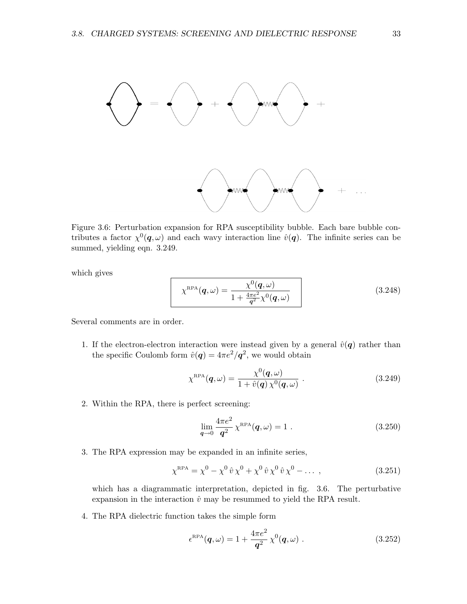



Figure 3.6: Perturbation expansion for RPA susceptibility bubble. Each bare bubble contributes a factor  $\chi^0(\bm{q},\omega)$  and each wavy interaction line  $\hat{v}(\bm{q})$ . The infinite series can be summed, yielding eqn. 3.249.

which gives

$$
\chi^{\text{RPA}}(\boldsymbol{q},\omega) = \frac{\chi^0(\boldsymbol{q},\omega)}{1 + \frac{4\pi e^2}{\boldsymbol{q}^2} \chi^0(\boldsymbol{q},\omega)}\tag{3.248}
$$

Several comments are in order.

1. If the electron-electron interaction were instead given by a general  $\hat{v}(q)$  rather than the specific Coulomb form  $\hat{v}(q) = 4\pi e^2/q^2$ , we would obtain

$$
\chi^{\text{RPA}}(\boldsymbol{q},\omega) = \frac{\chi^0(\boldsymbol{q},\omega)}{1 + \hat{v}(\boldsymbol{q})\,\chi^0(\boldsymbol{q},\omega)}\ .
$$
 (3.249)

2. Within the RPA, there is perfect screening:

$$
\lim_{q \to 0} \frac{4\pi e^2}{q^2} \chi^{\text{RPA}}(q,\omega) = 1.
$$
 (3.250)

3. The RPA expression may be expanded in an infinite series,

$$
\chi^{\text{RPA}} = \chi^0 - \chi^0 \,\hat{v} \,\chi^0 + \chi^0 \,\hat{v} \,\chi^0 \,\hat{v} \,\chi^0 - \dots \,,\tag{3.251}
$$

which has a diagrammatic interpretation, depicted in fig. 3.6. The perturbative expansion in the interaction  $\hat{v}$  may be resummed to yield the RPA result.

4. The RPA dielectric function takes the simple form

$$
\epsilon^{\text{RPA}}(\boldsymbol{q},\omega) = 1 + \frac{4\pi e^2}{\boldsymbol{q}^2} \chi^0(\boldsymbol{q},\omega) . \qquad (3.252)
$$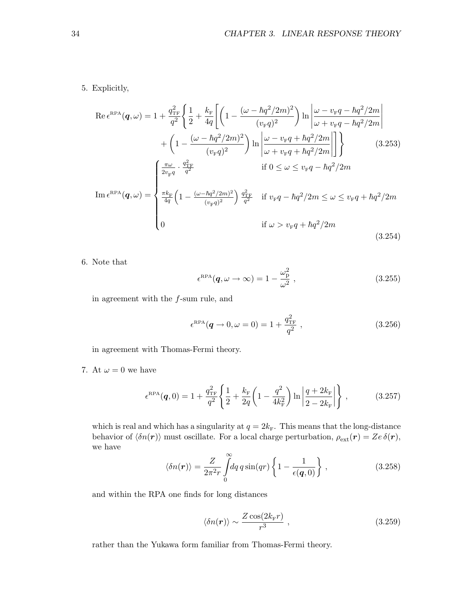5. Explicitly,

$$
\operatorname{Re} \epsilon^{\text{RPA}}(\mathbf{q}, \omega) = 1 + \frac{q_{\text{TF}}^2}{q^2} \left\{ \frac{1}{2} + \frac{k_{\text{F}}}{4q} \left[ \left( 1 - \frac{(\omega - \hbar q^2 / 2m)^2}{(v_{\text{F}}q)^2} \right) \ln \left| \frac{\omega - v_{\text{F}}q - \hbar q^2 / 2m}{\omega + v_{\text{F}}q - \hbar q^2 / 2m} \right| \right. \\ \left. + \left( 1 - \frac{(\omega - \hbar q^2 / 2m)^2}{(v_{\text{F}}q)^2} \right) \ln \left| \frac{\omega - v_{\text{F}}q + \hbar q^2 / 2m}{\omega + v_{\text{F}}q + \hbar q^2 / 2m} \right| \right\} \right\} \qquad (3.253)
$$
\n
$$
\operatorname{Im} \epsilon^{\text{RPA}}(\mathbf{q}, \omega) = \begin{cases} \frac{\pi \omega}{2v_{\text{F}}q} \cdot \frac{q_{\text{TF}}^2}{q^2} & \text{if } 0 \le \omega \le v_{\text{F}}q - \hbar q^2 / 2m \\ \frac{\pi k_{\text{F}}}{4q} \left( 1 - \frac{(\omega - \hbar q^2 / 2m)^2}{(v_{\text{F}}q)^2} \right) \frac{q_{\text{TF}}^2}{q^2} & \text{if } v_{\text{F}}q - \hbar q^2 / 2m \le \omega \le v_{\text{F}}q + \hbar q^2 / 2m \\ 0 & \text{if } \omega > v_{\text{F}}q + \hbar q^2 / 2m \end{cases} \qquad (3.254)
$$

6. Note that

$$
\epsilon^{\rm RPA}(\boldsymbol{q},\omega \to \infty) = 1 - \frac{\omega_{\rm p}^2}{\omega^2} \,, \tag{3.255}
$$

in agreement with the f-sum rule, and

$$
\epsilon^{\rm RPA}(\mathbf{q} \to 0, \omega = 0) = 1 + \frac{q_{\rm TF}^2}{q^2} \,, \tag{3.256}
$$

in agreement with Thomas-Fermi theory.

7. At  $\omega = 0$  we have

$$
\epsilon^{\text{RPA}}(\boldsymbol{q},0) = 1 + \frac{q_{\text{TF}}^2}{q^2} \left\{ \frac{1}{2} + \frac{k_{\text{F}}}{2q} \left( 1 - \frac{q^2}{4k_{\text{F}}^2} \right) \ln \left| \frac{q + 2k_{\text{F}}}{2 - 2k_{\text{F}}} \right| \right\},\tag{3.257}
$$

which is real and which has a singularity at  $q = 2k_F$ . This means that the long-distance behavior of  $\langle \delta n(\mathbf{r}) \rangle$  must oscillate. For a local charge perturbation,  $\rho_{ext}(\mathbf{r}) = Ze \delta(\mathbf{r}),$ we have

$$
\langle \delta n(\boldsymbol{r}) \rangle = \frac{Z}{2\pi^2 r} \int_0^\infty dq \, q \sin(qr) \left\{ 1 - \frac{1}{\epsilon(\boldsymbol{q}, 0)} \right\} \,, \tag{3.258}
$$

and within the RPA one finds for long distances

$$
\langle \delta n(\boldsymbol{r}) \rangle \sim \frac{Z \cos(2k_{\rm F} r)}{r^3} \,, \tag{3.259}
$$

rather than the Yukawa form familiar from Thomas-Fermi theory.